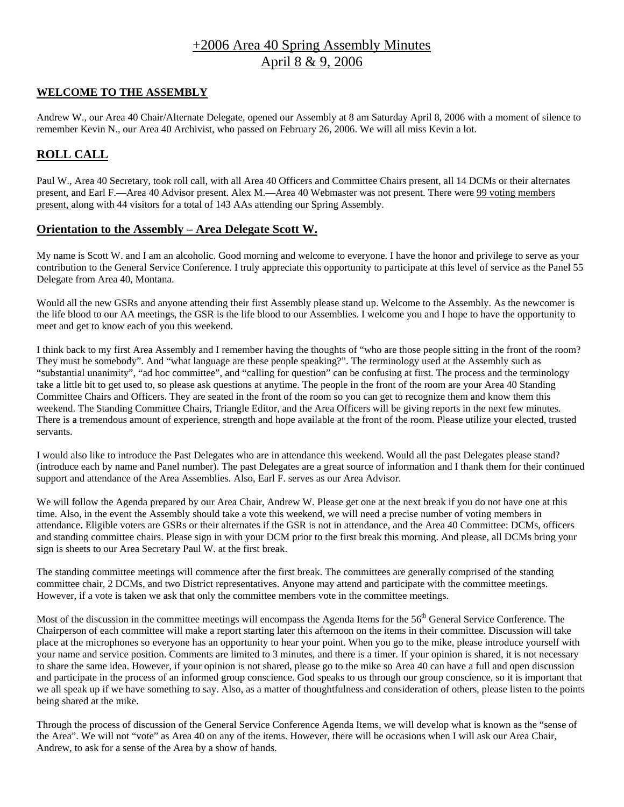# +2006 Area 40 Spring Assembly Minutes April 8 & 9, 2006

## **WELCOME TO THE ASSEMBLY**

Andrew W., our Area 40 Chair/Alternate Delegate, opened our Assembly at 8 am Saturday April 8, 2006 with a moment of silence to remember Kevin N., our Area 40 Archivist, who passed on February 26, 2006. We will all miss Kevin a lot.

# **ROLL CALL**

Paul W., Area 40 Secretary, took roll call, with all Area 40 Officers and Committee Chairs present, all 14 DCMs or their alternates present, and Earl F.—Area 40 Advisor present. Alex M.—Area 40 Webmaster was not present. There were 99 voting members present, along with 44 visitors for a total of 143 AAs attending our Spring Assembly.

## **Orientation to the Assembly – Area Delegate Scott W.**

My name is Scott W. and I am an alcoholic. Good morning and welcome to everyone. I have the honor and privilege to serve as your contribution to the General Service Conference. I truly appreciate this opportunity to participate at this level of service as the Panel 55 Delegate from Area 40, Montana.

Would all the new GSRs and anyone attending their first Assembly please stand up. Welcome to the Assembly. As the newcomer is the life blood to our AA meetings, the GSR is the life blood to our Assemblies. I welcome you and I hope to have the opportunity to meet and get to know each of you this weekend.

I think back to my first Area Assembly and I remember having the thoughts of "who are those people sitting in the front of the room? They must be somebody". And "what language are these people speaking?". The terminology used at the Assembly such as "substantial unanimity", "ad hoc committee", and "calling for question" can be confusing at first. The process and the terminology take a little bit to get used to, so please ask questions at anytime. The people in the front of the room are your Area 40 Standing Committee Chairs and Officers. They are seated in the front of the room so you can get to recognize them and know them this weekend. The Standing Committee Chairs, Triangle Editor, and the Area Officers will be giving reports in the next few minutes. There is a tremendous amount of experience, strength and hope available at the front of the room. Please utilize your elected, trusted servants.

I would also like to introduce the Past Delegates who are in attendance this weekend. Would all the past Delegates please stand? (introduce each by name and Panel number). The past Delegates are a great source of information and I thank them for their continued support and attendance of the Area Assemblies. Also, Earl F. serves as our Area Advisor.

We will follow the Agenda prepared by our Area Chair, Andrew W. Please get one at the next break if you do not have one at this time. Also, in the event the Assembly should take a vote this weekend, we will need a precise number of voting members in attendance. Eligible voters are GSRs or their alternates if the GSR is not in attendance, and the Area 40 Committee: DCMs, officers and standing committee chairs. Please sign in with your DCM prior to the first break this morning. And please, all DCMs bring your sign is sheets to our Area Secretary Paul W. at the first break.

The standing committee meetings will commence after the first break. The committees are generally comprised of the standing committee chair, 2 DCMs, and two District representatives. Anyone may attend and participate with the committee meetings. However, if a vote is taken we ask that only the committee members vote in the committee meetings.

Most of the discussion in the committee meetings will encompass the Agenda Items for the 56<sup>th</sup> General Service Conference. The Chairperson of each committee will make a report starting later this afternoon on the items in their committee. Discussion will take place at the microphones so everyone has an opportunity to hear your point. When you go to the mike, please introduce yourself with your name and service position. Comments are limited to 3 minutes, and there is a timer. If your opinion is shared, it is not necessary to share the same idea. However, if your opinion is not shared, please go to the mike so Area 40 can have a full and open discussion and participate in the process of an informed group conscience. God speaks to us through our group conscience, so it is important that we all speak up if we have something to say. Also, as a matter of thoughtfulness and consideration of others, please listen to the points being shared at the mike.

Through the process of discussion of the General Service Conference Agenda Items, we will develop what is known as the "sense of the Area". We will not "vote" as Area 40 on any of the items. However, there will be occasions when I will ask our Area Chair, Andrew, to ask for a sense of the Area by a show of hands.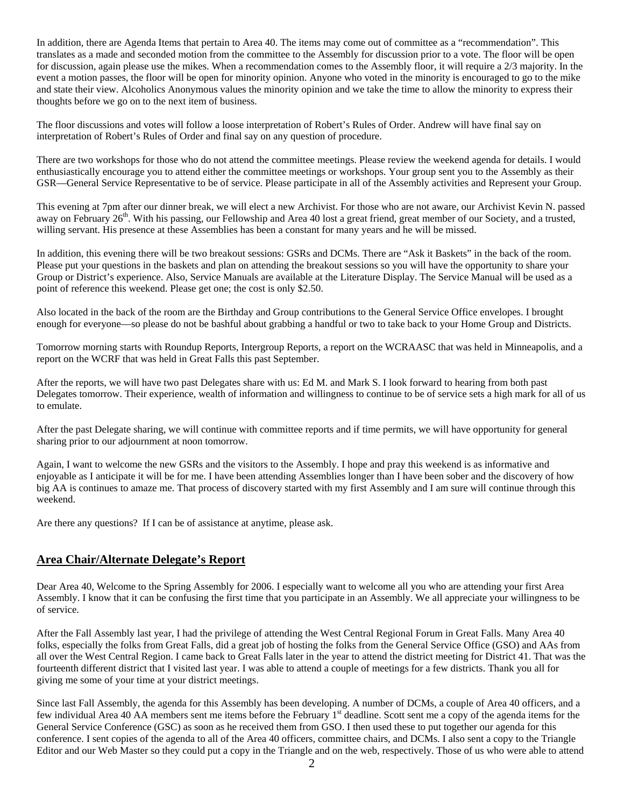In addition, there are Agenda Items that pertain to Area 40. The items may come out of committee as a "recommendation". This translates as a made and seconded motion from the committee to the Assembly for discussion prior to a vote. The floor will be open for discussion, again please use the mikes. When a recommendation comes to the Assembly floor, it will require a 2/3 majority. In the event a motion passes, the floor will be open for minority opinion. Anyone who voted in the minority is encouraged to go to the mike and state their view. Alcoholics Anonymous values the minority opinion and we take the time to allow the minority to express their thoughts before we go on to the next item of business.

The floor discussions and votes will follow a loose interpretation of Robert's Rules of Order. Andrew will have final say on interpretation of Robert's Rules of Order and final say on any question of procedure.

There are two workshops for those who do not attend the committee meetings. Please review the weekend agenda for details. I would enthusiastically encourage you to attend either the committee meetings or workshops. Your group sent you to the Assembly as their GSR—General Service Representative to be of service. Please participate in all of the Assembly activities and Represent your Group.

This evening at 7pm after our dinner break, we will elect a new Archivist. For those who are not aware, our Archivist Kevin N. passed away on February  $26<sup>th</sup>$ . With his passing, our Fellowship and Area 40 lost a great friend, great member of our Society, and a trusted, willing servant. His presence at these Assemblies has been a constant for many years and he will be missed.

In addition, this evening there will be two breakout sessions: GSRs and DCMs. There are "Ask it Baskets" in the back of the room. Please put your questions in the baskets and plan on attending the breakout sessions so you will have the opportunity to share your Group or District's experience. Also, Service Manuals are available at the Literature Display. The Service Manual will be used as a point of reference this weekend. Please get one; the cost is only \$2.50.

Also located in the back of the room are the Birthday and Group contributions to the General Service Office envelopes. I brought enough for everyone—so please do not be bashful about grabbing a handful or two to take back to your Home Group and Districts.

Tomorrow morning starts with Roundup Reports, Intergroup Reports, a report on the WCRAASC that was held in Minneapolis, and a report on the WCRF that was held in Great Falls this past September.

After the reports, we will have two past Delegates share with us: Ed M. and Mark S. I look forward to hearing from both past Delegates tomorrow. Their experience, wealth of information and willingness to continue to be of service sets a high mark for all of us to emulate.

After the past Delegate sharing, we will continue with committee reports and if time permits, we will have opportunity for general sharing prior to our adjournment at noon tomorrow.

Again, I want to welcome the new GSRs and the visitors to the Assembly. I hope and pray this weekend is as informative and enjoyable as I anticipate it will be for me. I have been attending Assemblies longer than I have been sober and the discovery of how big AA is continues to amaze me. That process of discovery started with my first Assembly and I am sure will continue through this weekend.

Are there any questions? If I can be of assistance at anytime, please ask.

## **Area Chair/Alternate Delegate's Report**

Dear Area 40, Welcome to the Spring Assembly for 2006. I especially want to welcome all you who are attending your first Area Assembly. I know that it can be confusing the first time that you participate in an Assembly. We all appreciate your willingness to be of service.

After the Fall Assembly last year, I had the privilege of attending the West Central Regional Forum in Great Falls. Many Area 40 folks, especially the folks from Great Falls, did a great job of hosting the folks from the General Service Office (GSO) and AAs from all over the West Central Region. I came back to Great Falls later in the year to attend the district meeting for District 41. That was the fourteenth different district that I visited last year. I was able to attend a couple of meetings for a few districts. Thank you all for giving me some of your time at your district meetings.

Since last Fall Assembly, the agenda for this Assembly has been developing. A number of DCMs, a couple of Area 40 officers, and a few individual Area 40 AA members sent me items before the February  $1<sup>st</sup>$  deadline. Scott sent me a copy of the agenda items for the General Service Conference (GSC) as soon as he received them from GSO. I then used these to put together our agenda for this conference. I sent copies of the agenda to all of the Area 40 officers, committee chairs, and DCMs. I also sent a copy to the Triangle Editor and our Web Master so they could put a copy in the Triangle and on the web, respectively. Those of us who were able to attend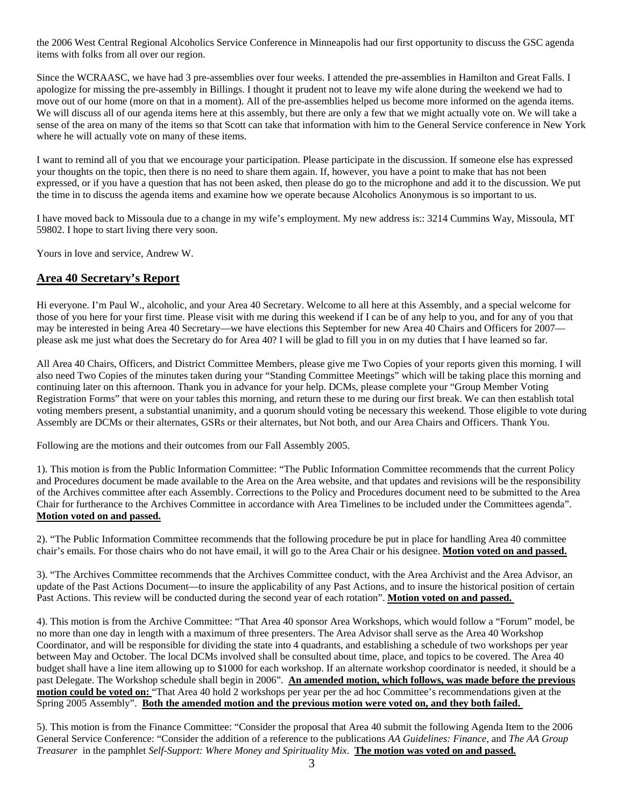the 2006 West Central Regional Alcoholics Service Conference in Minneapolis had our first opportunity to discuss the GSC agenda items with folks from all over our region.

Since the WCRAASC, we have had 3 pre-assemblies over four weeks. I attended the pre-assemblies in Hamilton and Great Falls. I apologize for missing the pre-assembly in Billings. I thought it prudent not to leave my wife alone during the weekend we had to move out of our home (more on that in a moment). All of the pre-assemblies helped us become more informed on the agenda items. We will discuss all of our agenda items here at this assembly, but there are only a few that we might actually vote on. We will take a sense of the area on many of the items so that Scott can take that information with him to the General Service conference in New York where he will actually vote on many of these items.

I want to remind all of you that we encourage your participation. Please participate in the discussion. If someone else has expressed your thoughts on the topic, then there is no need to share them again. If, however, you have a point to make that has not been expressed, or if you have a question that has not been asked, then please do go to the microphone and add it to the discussion. We put the time in to discuss the agenda items and examine how we operate because Alcoholics Anonymous is so important to us.

I have moved back to Missoula due to a change in my wife's employment. My new address is:: 3214 Cummins Way, Missoula, MT 59802. I hope to start living there very soon.

Yours in love and service, Andrew W.

## **Area 40 Secretary's Report**

Hi everyone. I'm Paul W., alcoholic, and your Area 40 Secretary. Welcome to all here at this Assembly, and a special welcome for those of you here for your first time. Please visit with me during this weekend if I can be of any help to you, and for any of you that may be interested in being Area 40 Secretary—we have elections this September for new Area 40 Chairs and Officers for 2007 please ask me just what does the Secretary do for Area 40? I will be glad to fill you in on my duties that I have learned so far.

All Area 40 Chairs, Officers, and District Committee Members, please give me Two Copies of your reports given this morning. I will also need Two Copies of the minutes taken during your "Standing Committee Meetings" which will be taking place this morning and continuing later on this afternoon. Thank you in advance for your help. DCMs, please complete your "Group Member Voting Registration Forms" that were on your tables this morning, and return these to me during our first break. We can then establish total voting members present, a substantial unanimity, and a quorum should voting be necessary this weekend. Those eligible to vote during Assembly are DCMs or their alternates, GSRs or their alternates, but Not both, and our Area Chairs and Officers. Thank You.

Following are the motions and their outcomes from our Fall Assembly 2005.

1). This motion is from the Public Information Committee: "The Public Information Committee recommends that the current Policy and Procedures document be made available to the Area on the Area website, and that updates and revisions will be the responsibility of the Archives committee after each Assembly. Corrections to the Policy and Procedures document need to be submitted to the Area Chair for furtherance to the Archives Committee in accordance with Area Timelines to be included under the Committees agenda". **Motion voted on and passed.**

2). "The Public Information Committee recommends that the following procedure be put in place for handling Area 40 committee chair's emails. For those chairs who do not have email, it will go to the Area Chair or his designee. **Motion voted on and passed.**

3). "The Archives Committee recommends that the Archives Committee conduct, with the Area Archivist and the Area Advisor, an update of the Past Actions Document—to insure the applicability of any Past Actions, and to insure the historical position of certain Past Actions. This review will be conducted during the second year of each rotation". **Motion voted on and passed.** 

4). This motion is from the Archive Committee: "That Area 40 sponsor Area Workshops, which would follow a "Forum" model, be no more than one day in length with a maximum of three presenters. The Area Advisor shall serve as the Area 40 Workshop Coordinator, and will be responsible for dividing the state into 4 quadrants, and establishing a schedule of two workshops per year between May and October. The local DCMs involved shall be consulted about time, place, and topics to be covered. The Area 40 budget shall have a line item allowing up to \$1000 for each workshop. If an alternate workshop coordinator is needed, it should be a past Delegate. The Workshop schedule shall begin in 2006". **An amended motion, which follows, was made before the previous motion could be voted on:** "That Area 40 hold 2 workshops per year per the ad hoc Committee's recommendations given at the Spring 2005 Assembly". **Both the amended motion and the previous motion were voted on, and they both failed.** 

5). This motion is from the Finance Committee: "Consider the proposal that Area 40 submit the following Agenda Item to the 2006 General Service Conference: "Consider the addition of a reference to the publications *AA Guidelines: Finance,* and *The AA Group Treasurer* in the pamphlet *Self-Support: Where Money and Spirituality Mix*. **The motion was voted on and passed.**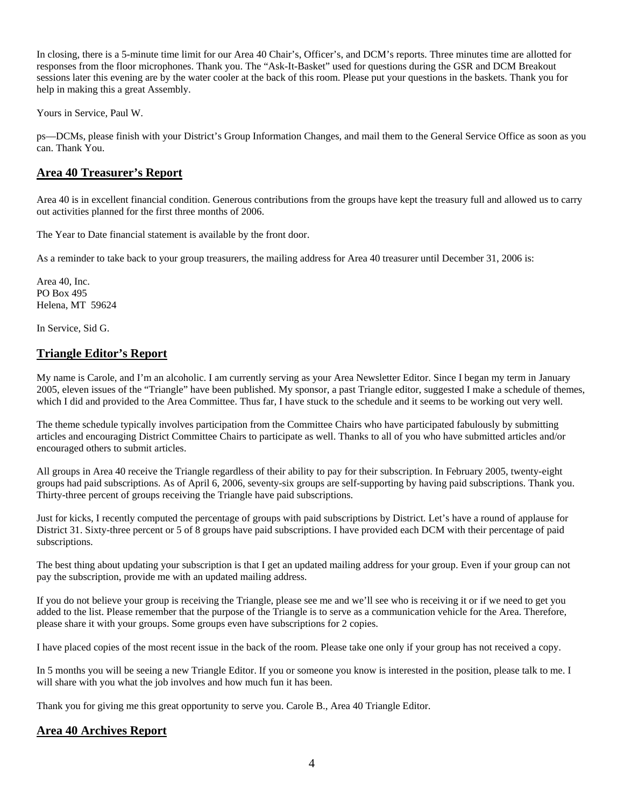In closing, there is a 5-minute time limit for our Area 40 Chair's, Officer's, and DCM's reports. Three minutes time are allotted for responses from the floor microphones. Thank you. The "Ask-It-Basket" used for questions during the GSR and DCM Breakout sessions later this evening are by the water cooler at the back of this room. Please put your questions in the baskets. Thank you for help in making this a great Assembly.

Yours in Service, Paul W.

ps—DCMs, please finish with your District's Group Information Changes, and mail them to the General Service Office as soon as you can. Thank You.

## **Area 40 Treasurer's Report**

Area 40 is in excellent financial condition. Generous contributions from the groups have kept the treasury full and allowed us to carry out activities planned for the first three months of 2006.

The Year to Date financial statement is available by the front door.

As a reminder to take back to your group treasurers, the mailing address for Area 40 treasurer until December 31, 2006 is:

Area 40, Inc. PO Box 495 Helena, MT 59624

In Service, Sid G.

## **Triangle Editor's Report**

My name is Carole, and I'm an alcoholic. I am currently serving as your Area Newsletter Editor. Since I began my term in January 2005, eleven issues of the "Triangle" have been published. My sponsor, a past Triangle editor, suggested I make a schedule of themes, which I did and provided to the Area Committee. Thus far, I have stuck to the schedule and it seems to be working out very well.

The theme schedule typically involves participation from the Committee Chairs who have participated fabulously by submitting articles and encouraging District Committee Chairs to participate as well. Thanks to all of you who have submitted articles and/or encouraged others to submit articles.

All groups in Area 40 receive the Triangle regardless of their ability to pay for their subscription. In February 2005, twenty-eight groups had paid subscriptions. As of April 6, 2006, seventy-six groups are self-supporting by having paid subscriptions. Thank you. Thirty-three percent of groups receiving the Triangle have paid subscriptions.

Just for kicks, I recently computed the percentage of groups with paid subscriptions by District. Let's have a round of applause for District 31. Sixty-three percent or 5 of 8 groups have paid subscriptions. I have provided each DCM with their percentage of paid subscriptions.

The best thing about updating your subscription is that I get an updated mailing address for your group. Even if your group can not pay the subscription, provide me with an updated mailing address.

If you do not believe your group is receiving the Triangle, please see me and we'll see who is receiving it or if we need to get you added to the list. Please remember that the purpose of the Triangle is to serve as a communication vehicle for the Area. Therefore, please share it with your groups. Some groups even have subscriptions for 2 copies.

I have placed copies of the most recent issue in the back of the room. Please take one only if your group has not received a copy.

In 5 months you will be seeing a new Triangle Editor. If you or someone you know is interested in the position, please talk to me. I will share with you what the job involves and how much fun it has been.

Thank you for giving me this great opportunity to serve you. Carole B., Area 40 Triangle Editor.

## **Area 40 Archives Report**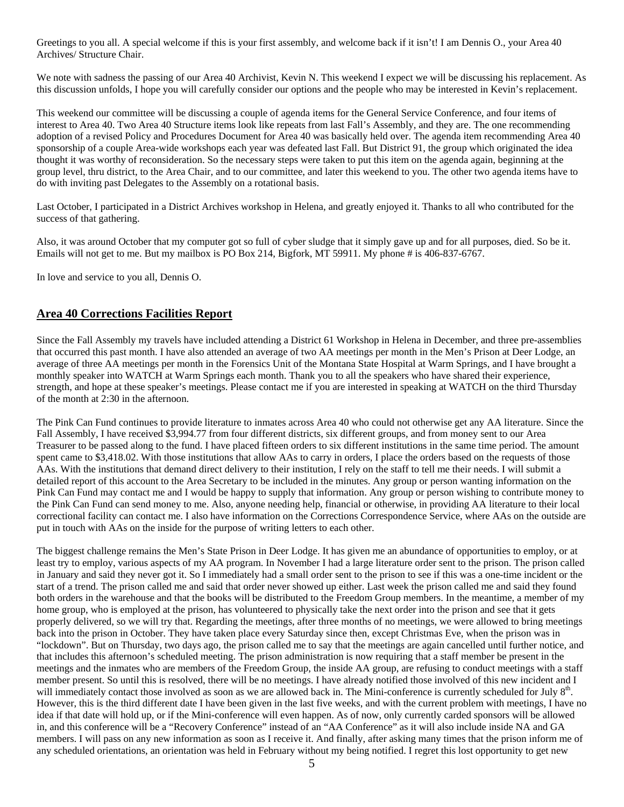Greetings to you all. A special welcome if this is your first assembly, and welcome back if it isn't! I am Dennis O., your Area 40 Archives/ Structure Chair.

We note with sadness the passing of our Area 40 Archivist, Kevin N. This weekend I expect we will be discussing his replacement. As this discussion unfolds, I hope you will carefully consider our options and the people who may be interested in Kevin's replacement.

This weekend our committee will be discussing a couple of agenda items for the General Service Conference, and four items of interest to Area 40. Two Area 40 Structure items look like repeats from last Fall's Assembly, and they are. The one recommending adoption of a revised Policy and Procedures Document for Area 40 was basically held over. The agenda item recommending Area 40 sponsorship of a couple Area-wide workshops each year was defeated last Fall. But District 91, the group which originated the idea thought it was worthy of reconsideration. So the necessary steps were taken to put this item on the agenda again, beginning at the group level, thru district, to the Area Chair, and to our committee, and later this weekend to you. The other two agenda items have to do with inviting past Delegates to the Assembly on a rotational basis.

Last October, I participated in a District Archives workshop in Helena, and greatly enjoyed it. Thanks to all who contributed for the success of that gathering.

Also, it was around October that my computer got so full of cyber sludge that it simply gave up and for all purposes, died. So be it. Emails will not get to me. But my mailbox is PO Box 214, Bigfork, MT 59911. My phone # is 406-837-6767.

In love and service to you all, Dennis O.

## **Area 40 Corrections Facilities Report**

Since the Fall Assembly my travels have included attending a District 61 Workshop in Helena in December, and three pre-assemblies that occurred this past month. I have also attended an average of two AA meetings per month in the Men's Prison at Deer Lodge, an average of three AA meetings per month in the Forensics Unit of the Montana State Hospital at Warm Springs, and I have brought a monthly speaker into WATCH at Warm Springs each month. Thank you to all the speakers who have shared their experience, strength, and hope at these speaker's meetings. Please contact me if you are interested in speaking at WATCH on the third Thursday of the month at 2:30 in the afternoon.

The Pink Can Fund continues to provide literature to inmates across Area 40 who could not otherwise get any AA literature. Since the Fall Assembly, I have received \$3,994.77 from four different districts, six different groups, and from money sent to our Area Treasurer to be passed along to the fund. I have placed fifteen orders to six different institutions in the same time period. The amount spent came to \$3,418.02. With those institutions that allow AAs to carry in orders, I place the orders based on the requests of those AAs. With the institutions that demand direct delivery to their institution, I rely on the staff to tell me their needs. I will submit a detailed report of this account to the Area Secretary to be included in the minutes. Any group or person wanting information on the Pink Can Fund may contact me and I would be happy to supply that information. Any group or person wishing to contribute money to the Pink Can Fund can send money to me. Also, anyone needing help, financial or otherwise, in providing AA literature to their local correctional facility can contact me. I also have information on the Corrections Correspondence Service, where AAs on the outside are put in touch with AAs on the inside for the purpose of writing letters to each other.

The biggest challenge remains the Men's State Prison in Deer Lodge. It has given me an abundance of opportunities to employ, or at least try to employ, various aspects of my AA program. In November I had a large literature order sent to the prison. The prison called in January and said they never got it. So I immediately had a small order sent to the prison to see if this was a one-time incident or the start of a trend. The prison called me and said that order never showed up either. Last week the prison called me and said they found both orders in the warehouse and that the books will be distributed to the Freedom Group members. In the meantime, a member of my home group, who is employed at the prison, has volunteered to physically take the next order into the prison and see that it gets properly delivered, so we will try that. Regarding the meetings, after three months of no meetings, we were allowed to bring meetings back into the prison in October. They have taken place every Saturday since then, except Christmas Eve, when the prison was in "lockdown". But on Thursday, two days ago, the prison called me to say that the meetings are again cancelled until further notice, and that includes this afternoon's scheduled meeting. The prison administration is now requiring that a staff member be present in the meetings and the inmates who are members of the Freedom Group, the inside AA group, are refusing to conduct meetings with a staff member present. So until this is resolved, there will be no meetings. I have already notified those involved of this new incident and I will immediately contact those involved as soon as we are allowed back in. The Mini-conference is currently scheduled for July  $8<sup>th</sup>$ . However, this is the third different date I have been given in the last five weeks, and with the current problem with meetings, I have no idea if that date will hold up, or if the Mini-conference will even happen. As of now, only currently carded sponsors will be allowed in, and this conference will be a "Recovery Conference" instead of an "AA Conference" as it will also include inside NA and GA members. I will pass on any new information as soon as I receive it. And finally, after asking many times that the prison inform me of any scheduled orientations, an orientation was held in February without my being notified. I regret this lost opportunity to get new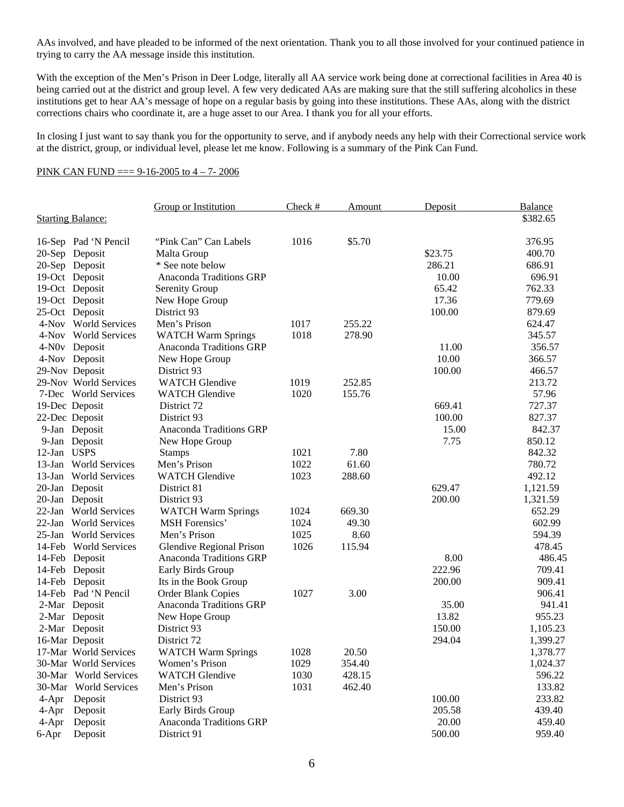AAs involved, and have pleaded to be informed of the next orientation. Thank you to all those involved for your continued patience in trying to carry the AA message inside this institution.

With the exception of the Men's Prison in Deer Lodge, literally all AA service work being done at correctional facilities in Area 40 is being carried out at the district and group level. A few very dedicated AAs are making sure that the still suffering alcoholics in these institutions get to hear AA's message of hope on a regular basis by going into these institutions. These AAs, along with the district corrections chairs who coordinate it, are a huge asset to our Area. I thank you for all your efforts.

In closing I just want to say thank you for the opportunity to serve, and if anybody needs any help with their Correctional service work at the district, group, or individual level, please let me know. Following is a summary of the Pink Can Fund.

#### PINK CAN FUND === 9-16-2005 to 4 – 7- 2006

|                          |                       | <b>Group or Institution</b>    | $Check$ # | Amount | Deposit | Balance  |
|--------------------------|-----------------------|--------------------------------|-----------|--------|---------|----------|
| <b>Starting Balance:</b> |                       |                                |           |        |         | \$382.65 |
|                          |                       |                                |           |        |         |          |
|                          | 16-Sep Pad 'N Pencil  | "Pink Can" Can Labels          | 1016      | \$5.70 |         | 376.95   |
|                          | 20-Sep Deposit        | Malta Group                    |           |        | \$23.75 | 400.70   |
|                          | 20-Sep Deposit        | * See note below               |           |        | 286.21  | 686.91   |
|                          | 19-Oct Deposit        | Anaconda Traditions GRP        |           |        | 10.00   | 696.91   |
|                          | 19-Oct Deposit        | Serenity Group                 |           |        | 65.42   | 762.33   |
|                          | 19-Oct Deposit        | New Hope Group                 |           |        | 17.36   | 779.69   |
|                          | 25-Oct Deposit        | District 93                    |           |        | 100.00  | 879.69   |
|                          | 4-Nov World Services  | Men's Prison                   | 1017      | 255.22 |         | 624.47   |
|                          | 4-Nov World Services  | <b>WATCH Warm Springs</b>      | 1018      | 278.90 |         | 345.57   |
|                          | 4-N0v Deposit         | Anaconda Traditions GRP        |           |        | 11.00   | 356.57   |
|                          | 4-Nov Deposit         | New Hope Group                 |           |        | 10.00   | 366.57   |
|                          | 29-Nov Deposit        | District 93                    |           |        | 100.00  | 466.57   |
|                          | 29-Nov World Services | <b>WATCH Glendive</b>          | 1019      | 252.85 |         | 213.72   |
|                          | 7-Dec World Services  | <b>WATCH Glendive</b>          | 1020      | 155.76 |         | 57.96    |
|                          | 19-Dec Deposit        | District 72                    |           |        | 669.41  | 727.37   |
|                          | 22-Dec Deposit        | District 93                    |           |        | 100.00  | 827.37   |
|                          | 9-Jan Deposit         | <b>Anaconda Traditions GRP</b> |           |        | 15.00   | 842.37   |
|                          | 9-Jan Deposit         | New Hope Group                 |           |        | 7.75    | 850.12   |
| 12-Jan USPS              |                       | <b>Stamps</b>                  | 1021      | 7.80   |         | 842.32   |
|                          | 13-Jan World Services | Men's Prison                   | 1022      | 61.60  |         | 780.72   |
|                          | 13-Jan World Services | <b>WATCH Glendive</b>          | 1023      | 288.60 |         | 492.12   |
|                          | 20-Jan Deposit        | District 81                    |           |        | 629.47  | 1,121.59 |
|                          | 20-Jan Deposit        | District 93                    |           |        | 200.00  | 1,321.59 |
|                          | 22-Jan World Services | <b>WATCH Warm Springs</b>      | 1024      | 669.30 |         | 652.29   |
|                          | 22-Jan World Services | <b>MSH</b> Forensics'          | 1024      | 49.30  |         | 602.99   |
|                          | 25-Jan World Services | Men's Prison                   | 1025      | 8.60   |         | 594.39   |
|                          | 14-Feb World Services | Glendive Regional Prison       | 1026      | 115.94 |         | 478.45   |
|                          | 14-Feb Deposit        | <b>Anaconda Traditions GRP</b> |           |        | 8.00    | 486.45   |
|                          | 14-Feb Deposit        | Early Birds Group              |           |        | 222.96  | 709.41   |
|                          | 14-Feb Deposit        | Its in the Book Group          |           |        | 200.00  | 909.41   |
|                          | 14-Feb Pad 'N Pencil  | Order Blank Copies             | 1027      | 3.00   |         | 906.41   |
|                          | 2-Mar Deposit         | Anaconda Traditions GRP        |           |        | 35.00   | 941.41   |
|                          | 2-Mar Deposit         | New Hope Group                 |           |        | 13.82   | 955.23   |
|                          | 2-Mar Deposit         | District 93                    |           |        | 150.00  | 1,105.23 |
|                          | 16-Mar Deposit        | District 72                    |           |        | 294.04  | 1,399.27 |
|                          | 17-Mar World Services | <b>WATCH Warm Springs</b>      | 1028      | 20.50  |         | 1,378.77 |
|                          | 30-Mar World Services | Women's Prison                 | 1029      | 354.40 |         | 1,024.37 |
|                          | 30-Mar World Services | <b>WATCH Glendive</b>          | 1030      | 428.15 |         | 596.22   |
|                          | 30-Mar World Services | Men's Prison                   | 1031      | 462.40 |         | 133.82   |
|                          | 4-Apr Deposit         | District 93                    |           |        | 100.00  | 233.82   |
| $4 - Apr$                | Deposit               | Early Birds Group              |           |        | 205.58  | 439.40   |
| $4-Apr$                  | Deposit               | Anaconda Traditions GRP        |           |        | 20.00   | 459.40   |
| 6-Apr                    | Deposit               | District 91                    |           |        | 500.00  | 959.40   |
|                          |                       |                                |           |        |         |          |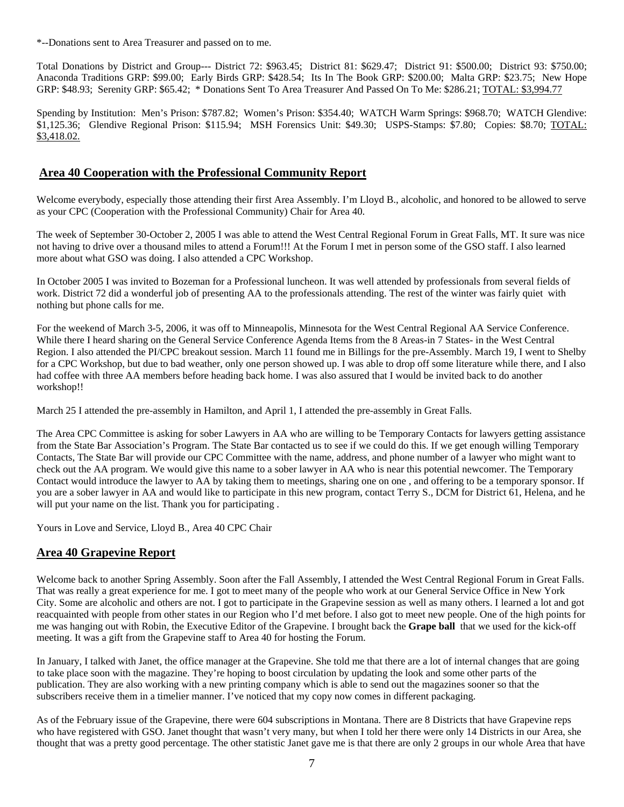\*--Donations sent to Area Treasurer and passed on to me.

Total Donations by District and Group--- District 72: \$963.45; District 81: \$629.47; District 91: \$500.00; District 93: \$750.00; Anaconda Traditions GRP: \$99.00; Early Birds GRP: \$428.54; Its In The Book GRP: \$200.00; Malta GRP: \$23.75; New Hope GRP: \$48.93; Serenity GRP: \$65.42; \* Donations Sent To Area Treasurer And Passed On To Me: \$286.21; TOTAL: \$3,994.77

Spending by Institution: Men's Prison: \$787.82; Women's Prison: \$354.40; WATCH Warm Springs: \$968.70; WATCH Glendive: \$1,125.36; Glendive Regional Prison: \$115.94; MSH Forensics Unit: \$49.30; USPS-Stamps: \$7.80; Copies: \$8.70; TOTAL: \$3,418.02.

## **Area 40 Cooperation with the Professional Community Report**

Welcome everybody, especially those attending their first Area Assembly. I'm Lloyd B., alcoholic, and honored to be allowed to serve as your CPC (Cooperation with the Professional Community) Chair for Area 40.

The week of September 30-October 2, 2005 I was able to attend the West Central Regional Forum in Great Falls, MT. It sure was nice not having to drive over a thousand miles to attend a Forum!!! At the Forum I met in person some of the GSO staff. I also learned more about what GSO was doing. I also attended a CPC Workshop.

In October 2005 I was invited to Bozeman for a Professional luncheon. It was well attended by professionals from several fields of work. District 72 did a wonderful job of presenting AA to the professionals attending. The rest of the winter was fairly quiet with nothing but phone calls for me.

For the weekend of March 3-5, 2006, it was off to Minneapolis, Minnesota for the West Central Regional AA Service Conference. While there I heard sharing on the General Service Conference Agenda Items from the 8 Areas-in 7 States- in the West Central Region. I also attended the PI/CPC breakout session. March 11 found me in Billings for the pre-Assembly. March 19, I went to Shelby for a CPC Workshop, but due to bad weather, only one person showed up. I was able to drop off some literature while there, and I also had coffee with three AA members before heading back home. I was also assured that I would be invited back to do another workshop!!

March 25 I attended the pre-assembly in Hamilton, and April 1, I attended the pre-assembly in Great Falls.

The Area CPC Committee is asking for sober Lawyers in AA who are willing to be Temporary Contacts for lawyers getting assistance from the State Bar Association's Program. The State Bar contacted us to see if we could do this. If we get enough willing Temporary Contacts, The State Bar will provide our CPC Committee with the name, address, and phone number of a lawyer who might want to check out the AA program. We would give this name to a sober lawyer in AA who is near this potential newcomer. The Temporary Contact would introduce the lawyer to AA by taking them to meetings, sharing one on one , and offering to be a temporary sponsor. If you are a sober lawyer in AA and would like to participate in this new program, contact Terry S., DCM for District 61, Helena, and he will put your name on the list. Thank you for participating.

Yours in Love and Service, Lloyd B., Area 40 CPC Chair

## **Area 40 Grapevine Report**

Welcome back to another Spring Assembly. Soon after the Fall Assembly, I attended the West Central Regional Forum in Great Falls. That was really a great experience for me. I got to meet many of the people who work at our General Service Office in New York City. Some are alcoholic and others are not. I got to participate in the Grapevine session as well as many others. I learned a lot and got reacquainted with people from other states in our Region who I'd met before. I also got to meet new people. One of the high points for me was hanging out with Robin, the Executive Editor of the Grapevine. I brought back the **Grape ball** that we used for the kick-off meeting. It was a gift from the Grapevine staff to Area 40 for hosting the Forum.

In January, I talked with Janet, the office manager at the Grapevine. She told me that there are a lot of internal changes that are going to take place soon with the magazine. They're hoping to boost circulation by updating the look and some other parts of the publication. They are also working with a new printing company which is able to send out the magazines sooner so that the subscribers receive them in a timelier manner. I've noticed that my copy now comes in different packaging.

As of the February issue of the Grapevine, there were 604 subscriptions in Montana. There are 8 Districts that have Grapevine reps who have registered with GSO. Janet thought that wasn't very many, but when I told her there were only 14 Districts in our Area, she thought that was a pretty good percentage. The other statistic Janet gave me is that there are only 2 groups in our whole Area that have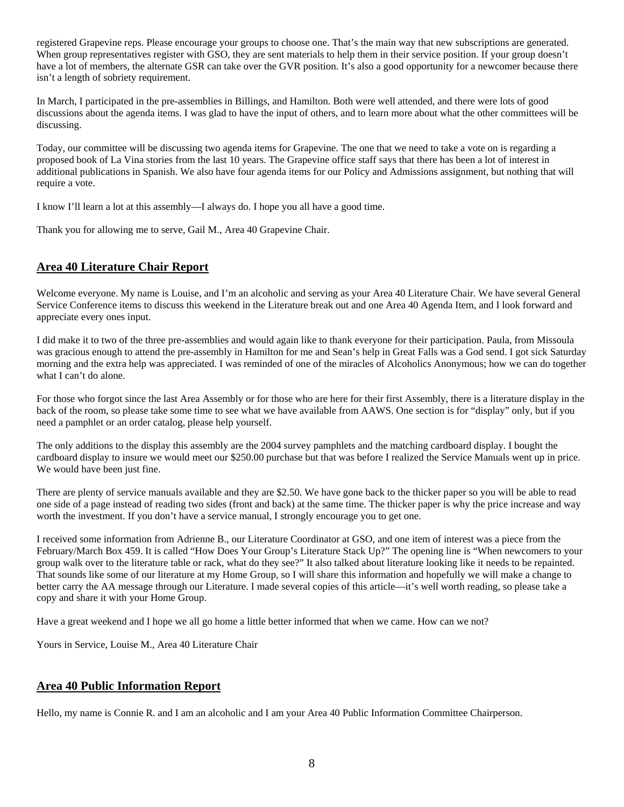registered Grapevine reps. Please encourage your groups to choose one. That's the main way that new subscriptions are generated. When group representatives register with GSO, they are sent materials to help them in their service position. If your group doesn't have a lot of members, the alternate GSR can take over the GVR position. It's also a good opportunity for a newcomer because there isn't a length of sobriety requirement.

In March, I participated in the pre-assemblies in Billings, and Hamilton. Both were well attended, and there were lots of good discussions about the agenda items. I was glad to have the input of others, and to learn more about what the other committees will be discussing.

Today, our committee will be discussing two agenda items for Grapevine. The one that we need to take a vote on is regarding a proposed book of La Vina stories from the last 10 years. The Grapevine office staff says that there has been a lot of interest in additional publications in Spanish. We also have four agenda items for our Policy and Admissions assignment, but nothing that will require a vote.

I know I'll learn a lot at this assembly—I always do. I hope you all have a good time.

Thank you for allowing me to serve, Gail M., Area 40 Grapevine Chair.

## **Area 40 Literature Chair Report**

Welcome everyone. My name is Louise, and I'm an alcoholic and serving as your Area 40 Literature Chair. We have several General Service Conference items to discuss this weekend in the Literature break out and one Area 40 Agenda Item, and I look forward and appreciate every ones input.

I did make it to two of the three pre-assemblies and would again like to thank everyone for their participation. Paula, from Missoula was gracious enough to attend the pre-assembly in Hamilton for me and Sean's help in Great Falls was a God send. I got sick Saturday morning and the extra help was appreciated. I was reminded of one of the miracles of Alcoholics Anonymous; how we can do together what I can't do alone.

For those who forgot since the last Area Assembly or for those who are here for their first Assembly, there is a literature display in the back of the room, so please take some time to see what we have available from AAWS. One section is for "display" only, but if you need a pamphlet or an order catalog, please help yourself.

The only additions to the display this assembly are the 2004 survey pamphlets and the matching cardboard display. I bought the cardboard display to insure we would meet our \$250.00 purchase but that was before I realized the Service Manuals went up in price. We would have been just fine.

There are plenty of service manuals available and they are \$2.50. We have gone back to the thicker paper so you will be able to read one side of a page instead of reading two sides (front and back) at the same time. The thicker paper is why the price increase and way worth the investment. If you don't have a service manual, I strongly encourage you to get one.

I received some information from Adrienne B., our Literature Coordinator at GSO, and one item of interest was a piece from the February/March Box 459. It is called "How Does Your Group's Literature Stack Up?" The opening line is "When newcomers to your group walk over to the literature table or rack, what do they see?" It also talked about literature looking like it needs to be repainted. That sounds like some of our literature at my Home Group, so I will share this information and hopefully we will make a change to better carry the AA message through our Literature. I made several copies of this article—it's well worth reading, so please take a copy and share it with your Home Group.

Have a great weekend and I hope we all go home a little better informed that when we came. How can we not?

Yours in Service, Louise M., Area 40 Literature Chair

## **Area 40 Public Information Report**

Hello, my name is Connie R. and I am an alcoholic and I am your Area 40 Public Information Committee Chairperson.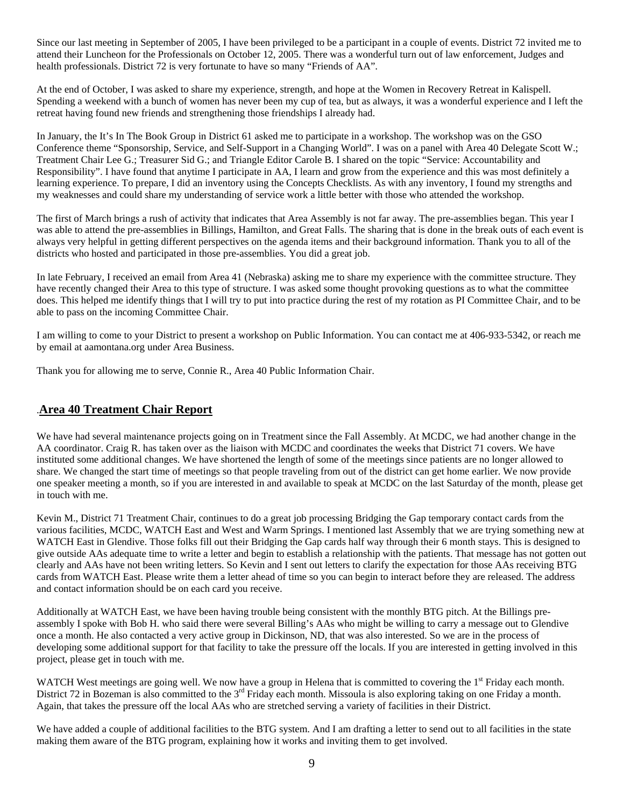Since our last meeting in September of 2005, I have been privileged to be a participant in a couple of events. District 72 invited me to attend their Luncheon for the Professionals on October 12, 2005. There was a wonderful turn out of law enforcement, Judges and health professionals. District 72 is very fortunate to have so many "Friends of AA".

At the end of October, I was asked to share my experience, strength, and hope at the Women in Recovery Retreat in Kalispell. Spending a weekend with a bunch of women has never been my cup of tea, but as always, it was a wonderful experience and I left the retreat having found new friends and strengthening those friendships I already had.

In January, the It's In The Book Group in District 61 asked me to participate in a workshop. The workshop was on the GSO Conference theme "Sponsorship, Service, and Self-Support in a Changing World". I was on a panel with Area 40 Delegate Scott W.; Treatment Chair Lee G.; Treasurer Sid G.; and Triangle Editor Carole B. I shared on the topic "Service: Accountability and Responsibility". I have found that anytime I participate in AA, I learn and grow from the experience and this was most definitely a learning experience. To prepare, I did an inventory using the Concepts Checklists. As with any inventory, I found my strengths and my weaknesses and could share my understanding of service work a little better with those who attended the workshop.

The first of March brings a rush of activity that indicates that Area Assembly is not far away. The pre-assemblies began. This year I was able to attend the pre-assemblies in Billings, Hamilton, and Great Falls. The sharing that is done in the break outs of each event is always very helpful in getting different perspectives on the agenda items and their background information. Thank you to all of the districts who hosted and participated in those pre-assemblies. You did a great job.

In late February, I received an email from Area 41 (Nebraska) asking me to share my experience with the committee structure. They have recently changed their Area to this type of structure. I was asked some thought provoking questions as to what the committee does. This helped me identify things that I will try to put into practice during the rest of my rotation as PI Committee Chair, and to be able to pass on the incoming Committee Chair.

I am willing to come to your District to present a workshop on Public Information. You can contact me at 406-933-5342, or reach me by email at aamontana.org under Area Business.

Thank you for allowing me to serve, Connie R., Area 40 Public Information Chair.

## .**Area 40 Treatment Chair Report**

We have had several maintenance projects going on in Treatment since the Fall Assembly. At MCDC, we had another change in the AA coordinator. Craig R. has taken over as the liaison with MCDC and coordinates the weeks that District 71 covers. We have instituted some additional changes. We have shortened the length of some of the meetings since patients are no longer allowed to share. We changed the start time of meetings so that people traveling from out of the district can get home earlier. We now provide one speaker meeting a month, so if you are interested in and available to speak at MCDC on the last Saturday of the month, please get in touch with me.

Kevin M., District 71 Treatment Chair, continues to do a great job processing Bridging the Gap temporary contact cards from the various facilities, MCDC, WATCH East and West and Warm Springs. I mentioned last Assembly that we are trying something new at WATCH East in Glendive. Those folks fill out their Bridging the Gap cards half way through their 6 month stays. This is designed to give outside AAs adequate time to write a letter and begin to establish a relationship with the patients. That message has not gotten out clearly and AAs have not been writing letters. So Kevin and I sent out letters to clarify the expectation for those AAs receiving BTG cards from WATCH East. Please write them a letter ahead of time so you can begin to interact before they are released. The address and contact information should be on each card you receive.

Additionally at WATCH East, we have been having trouble being consistent with the monthly BTG pitch. At the Billings preassembly I spoke with Bob H. who said there were several Billing's AAs who might be willing to carry a message out to Glendive once a month. He also contacted a very active group in Dickinson, ND, that was also interested. So we are in the process of developing some additional support for that facility to take the pressure off the locals. If you are interested in getting involved in this project, please get in touch with me.

WATCH West meetings are going well. We now have a group in Helena that is committed to covering the 1<sup>st</sup> Friday each month. District 72 in Bozeman is also committed to the 3<sup>rd</sup> Friday each month. Missoula is also exploring taking on one Friday a month. Again, that takes the pressure off the local AAs who are stretched serving a variety of facilities in their District.

We have added a couple of additional facilities to the BTG system. And I am drafting a letter to send out to all facilities in the state making them aware of the BTG program, explaining how it works and inviting them to get involved.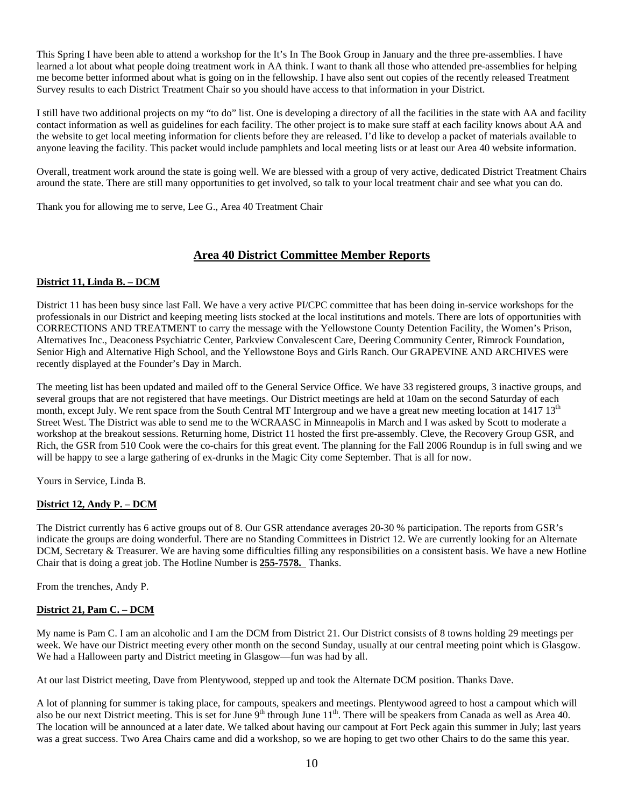This Spring I have been able to attend a workshop for the It's In The Book Group in January and the three pre-assemblies. I have learned a lot about what people doing treatment work in AA think. I want to thank all those who attended pre-assemblies for helping me become better informed about what is going on in the fellowship. I have also sent out copies of the recently released Treatment Survey results to each District Treatment Chair so you should have access to that information in your District.

I still have two additional projects on my "to do" list. One is developing a directory of all the facilities in the state with AA and facility contact information as well as guidelines for each facility. The other project is to make sure staff at each facility knows about AA and the website to get local meeting information for clients before they are released. I'd like to develop a packet of materials available to anyone leaving the facility. This packet would include pamphlets and local meeting lists or at least our Area 40 website information.

Overall, treatment work around the state is going well. We are blessed with a group of very active, dedicated District Treatment Chairs around the state. There are still many opportunities to get involved, so talk to your local treatment chair and see what you can do.

Thank you for allowing me to serve, Lee G., Area 40 Treatment Chair

## **Area 40 District Committee Member Reports**

#### **District 11, Linda B. – DCM**

District 11 has been busy since last Fall. We have a very active PI/CPC committee that has been doing in-service workshops for the professionals in our District and keeping meeting lists stocked at the local institutions and motels. There are lots of opportunities with CORRECTIONS AND TREATMENT to carry the message with the Yellowstone County Detention Facility, the Women's Prison, Alternatives Inc., Deaconess Psychiatric Center, Parkview Convalescent Care, Deering Community Center, Rimrock Foundation, Senior High and Alternative High School, and the Yellowstone Boys and Girls Ranch. Our GRAPEVINE AND ARCHIVES were recently displayed at the Founder's Day in March.

The meeting list has been updated and mailed off to the General Service Office. We have 33 registered groups, 3 inactive groups, and several groups that are not registered that have meetings. Our District meetings are held at 10am on the second Saturday of each month, except July. We rent space from the South Central MT Intergroup and we have a great new meeting location at  $1417\,13<sup>th</sup>$ Street West. The District was able to send me to the WCRAASC in Minneapolis in March and I was asked by Scott to moderate a workshop at the breakout sessions. Returning home, District 11 hosted the first pre-assembly. Cleve, the Recovery Group GSR, and Rich, the GSR from 510 Cook were the co-chairs for this great event. The planning for the Fall 2006 Roundup is in full swing and we will be happy to see a large gathering of ex-drunks in the Magic City come September. That is all for now.

Yours in Service, Linda B.

## **District 12, Andy P. – DCM**

The District currently has 6 active groups out of 8. Our GSR attendance averages 20-30 % participation. The reports from GSR's indicate the groups are doing wonderful. There are no Standing Committees in District 12. We are currently looking for an Alternate DCM, Secretary & Treasurer. We are having some difficulties filling any responsibilities on a consistent basis. We have a new Hotline Chair that is doing a great job. The Hotline Number is **255-7578.** Thanks.

From the trenches, Andy P.

### **District 21, Pam C. – DCM**

My name is Pam C. I am an alcoholic and I am the DCM from District 21. Our District consists of 8 towns holding 29 meetings per week. We have our District meeting every other month on the second Sunday, usually at our central meeting point which is Glasgow. We had a Halloween party and District meeting in Glasgow—fun was had by all.

At our last District meeting, Dave from Plentywood, stepped up and took the Alternate DCM position. Thanks Dave.

A lot of planning for summer is taking place, for campouts, speakers and meetings. Plentywood agreed to host a campout which will also be our next District meeting. This is set for June  $9<sup>th</sup>$  through June 11<sup>th</sup>. There will be speakers from Canada as well as Area 40. The location will be announced at a later date. We talked about having our campout at Fort Peck again this summer in July; last years was a great success. Two Area Chairs came and did a workshop, so we are hoping to get two other Chairs to do the same this year.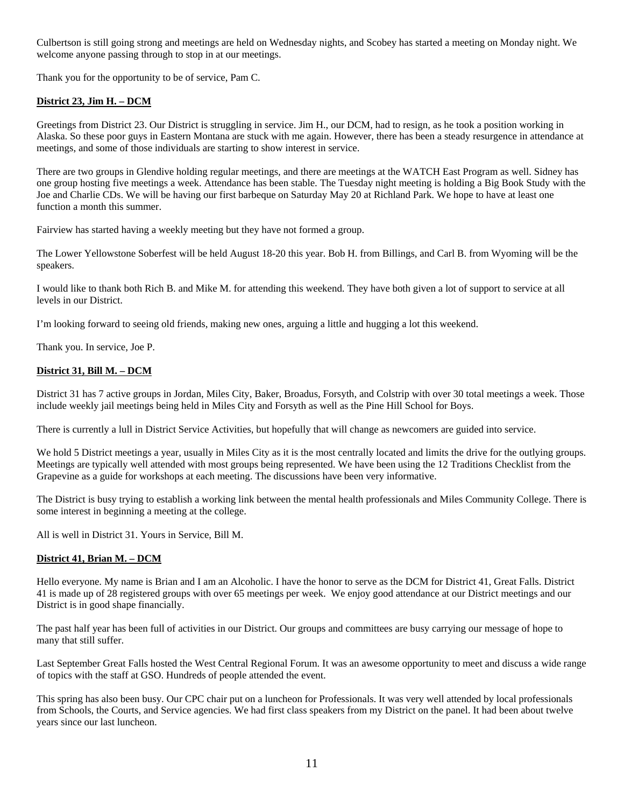Culbertson is still going strong and meetings are held on Wednesday nights, and Scobey has started a meeting on Monday night. We welcome anyone passing through to stop in at our meetings.

Thank you for the opportunity to be of service, Pam C.

## **District 23, Jim H. – DCM**

Greetings from District 23. Our District is struggling in service. Jim H., our DCM, had to resign, as he took a position working in Alaska. So these poor guys in Eastern Montana are stuck with me again. However, there has been a steady resurgence in attendance at meetings, and some of those individuals are starting to show interest in service.

There are two groups in Glendive holding regular meetings, and there are meetings at the WATCH East Program as well. Sidney has one group hosting five meetings a week. Attendance has been stable. The Tuesday night meeting is holding a Big Book Study with the Joe and Charlie CDs. We will be having our first barbeque on Saturday May 20 at Richland Park. We hope to have at least one function a month this summer.

Fairview has started having a weekly meeting but they have not formed a group.

The Lower Yellowstone Soberfest will be held August 18-20 this year. Bob H. from Billings, and Carl B. from Wyoming will be the speakers.

I would like to thank both Rich B. and Mike M. for attending this weekend. They have both given a lot of support to service at all levels in our District.

I'm looking forward to seeing old friends, making new ones, arguing a little and hugging a lot this weekend.

Thank you. In service, Joe P.

### **District 31, Bill M. – DCM**

District 31 has 7 active groups in Jordan, Miles City, Baker, Broadus, Forsyth, and Colstrip with over 30 total meetings a week. Those include weekly jail meetings being held in Miles City and Forsyth as well as the Pine Hill School for Boys.

There is currently a lull in District Service Activities, but hopefully that will change as newcomers are guided into service.

We hold 5 District meetings a year, usually in Miles City as it is the most centrally located and limits the drive for the outlying groups. Meetings are typically well attended with most groups being represented. We have been using the 12 Traditions Checklist from the Grapevine as a guide for workshops at each meeting. The discussions have been very informative.

The District is busy trying to establish a working link between the mental health professionals and Miles Community College. There is some interest in beginning a meeting at the college.

All is well in District 31. Yours in Service, Bill M.

#### **District 41, Brian M. – DCM**

Hello everyone. My name is Brian and I am an Alcoholic. I have the honor to serve as the DCM for District 41, Great Falls. District 41 is made up of 28 registered groups with over 65 meetings per week. We enjoy good attendance at our District meetings and our District is in good shape financially.

The past half year has been full of activities in our District. Our groups and committees are busy carrying our message of hope to many that still suffer.

Last September Great Falls hosted the West Central Regional Forum. It was an awesome opportunity to meet and discuss a wide range of topics with the staff at GSO. Hundreds of people attended the event.

This spring has also been busy. Our CPC chair put on a luncheon for Professionals. It was very well attended by local professionals from Schools, the Courts, and Service agencies. We had first class speakers from my District on the panel. It had been about twelve years since our last luncheon.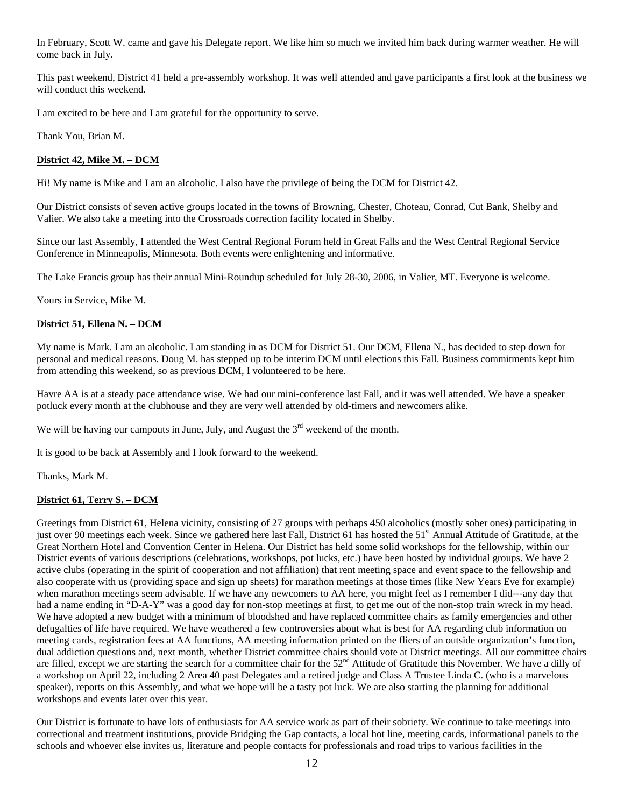In February, Scott W. came and gave his Delegate report. We like him so much we invited him back during warmer weather. He will come back in July.

This past weekend, District 41 held a pre-assembly workshop. It was well attended and gave participants a first look at the business we will conduct this weekend.

I am excited to be here and I am grateful for the opportunity to serve.

Thank You, Brian M.

## **District 42, Mike M. – DCM**

Hi! My name is Mike and I am an alcoholic. I also have the privilege of being the DCM for District 42.

Our District consists of seven active groups located in the towns of Browning, Chester, Choteau, Conrad, Cut Bank, Shelby and Valier. We also take a meeting into the Crossroads correction facility located in Shelby.

Since our last Assembly, I attended the West Central Regional Forum held in Great Falls and the West Central Regional Service Conference in Minneapolis, Minnesota. Both events were enlightening and informative.

The Lake Francis group has their annual Mini-Roundup scheduled for July 28-30, 2006, in Valier, MT. Everyone is welcome.

Yours in Service, Mike M.

#### **District 51, Ellena N. – DCM**

My name is Mark. I am an alcoholic. I am standing in as DCM for District 51. Our DCM, Ellena N., has decided to step down for personal and medical reasons. Doug M. has stepped up to be interim DCM until elections this Fall. Business commitments kept him from attending this weekend, so as previous DCM, I volunteered to be here.

Havre AA is at a steady pace attendance wise. We had our mini-conference last Fall, and it was well attended. We have a speaker potluck every month at the clubhouse and they are very well attended by old-timers and newcomers alike.

We will be having our campouts in June, July, and August the  $3<sup>rd</sup>$  weekend of the month.

It is good to be back at Assembly and I look forward to the weekend.

Thanks, Mark M.

#### **District 61, Terry S. – DCM**

Greetings from District 61, Helena vicinity, consisting of 27 groups with perhaps 450 alcoholics (mostly sober ones) participating in just over 90 meetings each week. Since we gathered here last Fall, District 61 has hosted the 51<sup>st</sup> Annual Attitude of Gratitude, at the Great Northern Hotel and Convention Center in Helena. Our District has held some solid workshops for the fellowship, within our District events of various descriptions (celebrations, workshops, pot lucks, etc.) have been hosted by individual groups. We have 2 active clubs (operating in the spirit of cooperation and not affiliation) that rent meeting space and event space to the fellowship and also cooperate with us (providing space and sign up sheets) for marathon meetings at those times (like New Years Eve for example) when marathon meetings seem advisable. If we have any newcomers to AA here, you might feel as I remember I did---any day that had a name ending in "D-A-Y" was a good day for non-stop meetings at first, to get me out of the non-stop train wreck in my head. We have adopted a new budget with a minimum of bloodshed and have replaced committee chairs as family emergencies and other defugalties of life have required. We have weathered a few controversies about what is best for AA regarding club information on meeting cards, registration fees at AA functions, AA meeting information printed on the fliers of an outside organization's function, dual addiction questions and, next month, whether District committee chairs should vote at District meetings. All our committee chairs are filled, except we are starting the search for a committee chair for the 52<sup>nd</sup> Attitude of Gratitude this November. We have a dilly of a workshop on April 22, including 2 Area 40 past Delegates and a retired judge and Class A Trustee Linda C. (who is a marvelous speaker), reports on this Assembly, and what we hope will be a tasty pot luck. We are also starting the planning for additional workshops and events later over this year.

Our District is fortunate to have lots of enthusiasts for AA service work as part of their sobriety. We continue to take meetings into correctional and treatment institutions, provide Bridging the Gap contacts, a local hot line, meeting cards, informational panels to the schools and whoever else invites us, literature and people contacts for professionals and road trips to various facilities in the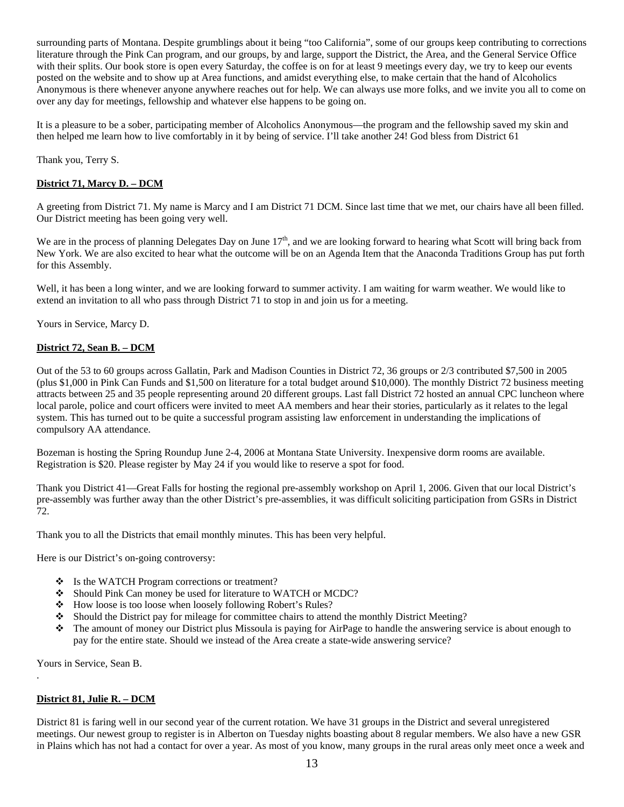surrounding parts of Montana. Despite grumblings about it being "too California", some of our groups keep contributing to corrections literature through the Pink Can program, and our groups, by and large, support the District, the Area, and the General Service Office with their splits. Our book store is open every Saturday, the coffee is on for at least 9 meetings every day, we try to keep our events posted on the website and to show up at Area functions, and amidst everything else, to make certain that the hand of Alcoholics Anonymous is there whenever anyone anywhere reaches out for help. We can always use more folks, and we invite you all to come on over any day for meetings, fellowship and whatever else happens to be going on.

It is a pleasure to be a sober, participating member of Alcoholics Anonymous—the program and the fellowship saved my skin and then helped me learn how to live comfortably in it by being of service. I'll take another 24! God bless from District 61

Thank you, Terry S.

## **District 71, Marcy D. – DCM**

A greeting from District 71. My name is Marcy and I am District 71 DCM. Since last time that we met, our chairs have all been filled. Our District meeting has been going very well.

We are in the process of planning Delegates Day on June  $17<sup>th</sup>$ , and we are looking forward to hearing what Scott will bring back from New York. We are also excited to hear what the outcome will be on an Agenda Item that the Anaconda Traditions Group has put forth for this Assembly.

Well, it has been a long winter, and we are looking forward to summer activity. I am waiting for warm weather. We would like to extend an invitation to all who pass through District 71 to stop in and join us for a meeting.

Yours in Service, Marcy D.

## **District 72, Sean B. – DCM**

Out of the 53 to 60 groups across Gallatin, Park and Madison Counties in District 72, 36 groups or 2/3 contributed \$7,500 in 2005 (plus \$1,000 in Pink Can Funds and \$1,500 on literature for a total budget around \$10,000). The monthly District 72 business meeting attracts between 25 and 35 people representing around 20 different groups. Last fall District 72 hosted an annual CPC luncheon where local parole, police and court officers were invited to meet AA members and hear their stories, particularly as it relates to the legal system. This has turned out to be quite a successful program assisting law enforcement in understanding the implications of compulsory AA attendance.

Bozeman is hosting the Spring Roundup June 2-4, 2006 at Montana State University. Inexpensive dorm rooms are available. Registration is \$20. Please register by May 24 if you would like to reserve a spot for food.

Thank you District 41—Great Falls for hosting the regional pre-assembly workshop on April 1, 2006. Given that our local District's pre-assembly was further away than the other District's pre-assemblies, it was difficult soliciting participation from GSRs in District 72.

Thank you to all the Districts that email monthly minutes. This has been very helpful.

Here is our District's on-going controversy:

- Is the WATCH Program corrections or treatment?
- Should Pink Can money be used for literature to WATCH or MCDC?
- How loose is too loose when loosely following Robert's Rules?
- Should the District pay for mileage for committee chairs to attend the monthly District Meeting?
- $\bullet$  The amount of money our District plus Missoula is paying for AirPage to handle the answering service is about enough to pay for the entire state. Should we instead of the Area create a state-wide answering service?

Yours in Service, Sean B.

.

#### **District 81, Julie R. – DCM**

District 81 is faring well in our second year of the current rotation. We have 31 groups in the District and several unregistered meetings. Our newest group to register is in Alberton on Tuesday nights boasting about 8 regular members. We also have a new GSR in Plains which has not had a contact for over a year. As most of you know, many groups in the rural areas only meet once a week and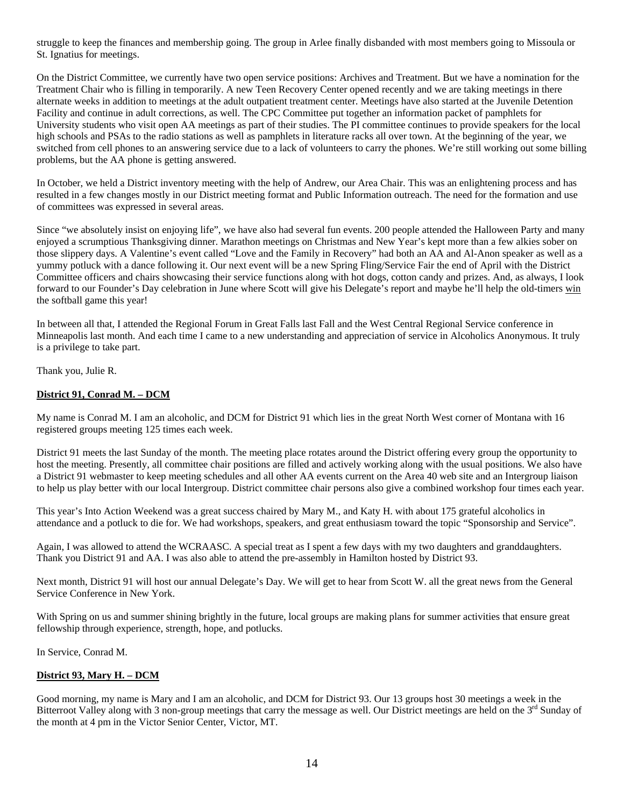struggle to keep the finances and membership going. The group in Arlee finally disbanded with most members going to Missoula or St. Ignatius for meetings.

On the District Committee, we currently have two open service positions: Archives and Treatment. But we have a nomination for the Treatment Chair who is filling in temporarily. A new Teen Recovery Center opened recently and we are taking meetings in there alternate weeks in addition to meetings at the adult outpatient treatment center. Meetings have also started at the Juvenile Detention Facility and continue in adult corrections, as well. The CPC Committee put together an information packet of pamphlets for University students who visit open AA meetings as part of their studies. The PI committee continues to provide speakers for the local high schools and PSAs to the radio stations as well as pamphlets in literature racks all over town. At the beginning of the year, we switched from cell phones to an answering service due to a lack of volunteers to carry the phones. We're still working out some billing problems, but the AA phone is getting answered.

In October, we held a District inventory meeting with the help of Andrew, our Area Chair. This was an enlightening process and has resulted in a few changes mostly in our District meeting format and Public Information outreach. The need for the formation and use of committees was expressed in several areas.

Since "we absolutely insist on enjoying life", we have also had several fun events. 200 people attended the Halloween Party and many enjoyed a scrumptious Thanksgiving dinner. Marathon meetings on Christmas and New Year's kept more than a few alkies sober on those slippery days. A Valentine's event called "Love and the Family in Recovery" had both an AA and Al-Anon speaker as well as a yummy potluck with a dance following it. Our next event will be a new Spring Fling/Service Fair the end of April with the District Committee officers and chairs showcasing their service functions along with hot dogs, cotton candy and prizes. And, as always, I look forward to our Founder's Day celebration in June where Scott will give his Delegate's report and maybe he'll help the old-timers win the softball game this year!

In between all that, I attended the Regional Forum in Great Falls last Fall and the West Central Regional Service conference in Minneapolis last month. And each time I came to a new understanding and appreciation of service in Alcoholics Anonymous. It truly is a privilege to take part.

Thank you, Julie R.

## **District 91, Conrad M. – DCM**

My name is Conrad M. I am an alcoholic, and DCM for District 91 which lies in the great North West corner of Montana with 16 registered groups meeting 125 times each week.

District 91 meets the last Sunday of the month. The meeting place rotates around the District offering every group the opportunity to host the meeting. Presently, all committee chair positions are filled and actively working along with the usual positions. We also have a District 91 webmaster to keep meeting schedules and all other AA events current on the Area 40 web site and an Intergroup liaison to help us play better with our local Intergroup. District committee chair persons also give a combined workshop four times each year.

This year's Into Action Weekend was a great success chaired by Mary M., and Katy H. with about 175 grateful alcoholics in attendance and a potluck to die for. We had workshops, speakers, and great enthusiasm toward the topic "Sponsorship and Service".

Again, I was allowed to attend the WCRAASC. A special treat as I spent a few days with my two daughters and granddaughters. Thank you District 91 and AA. I was also able to attend the pre-assembly in Hamilton hosted by District 93.

Next month, District 91 will host our annual Delegate's Day. We will get to hear from Scott W. all the great news from the General Service Conference in New York.

With Spring on us and summer shining brightly in the future, local groups are making plans for summer activities that ensure great fellowship through experience, strength, hope, and potlucks.

In Service, Conrad M.

### **District 93, Mary H. – DCM**

Good morning, my name is Mary and I am an alcoholic, and DCM for District 93. Our 13 groups host 30 meetings a week in the Bitterroot Valley along with 3 non-group meetings that carry the message as well. Our District meetings are held on the 3rd Sunday of the month at 4 pm in the Victor Senior Center, Victor, MT.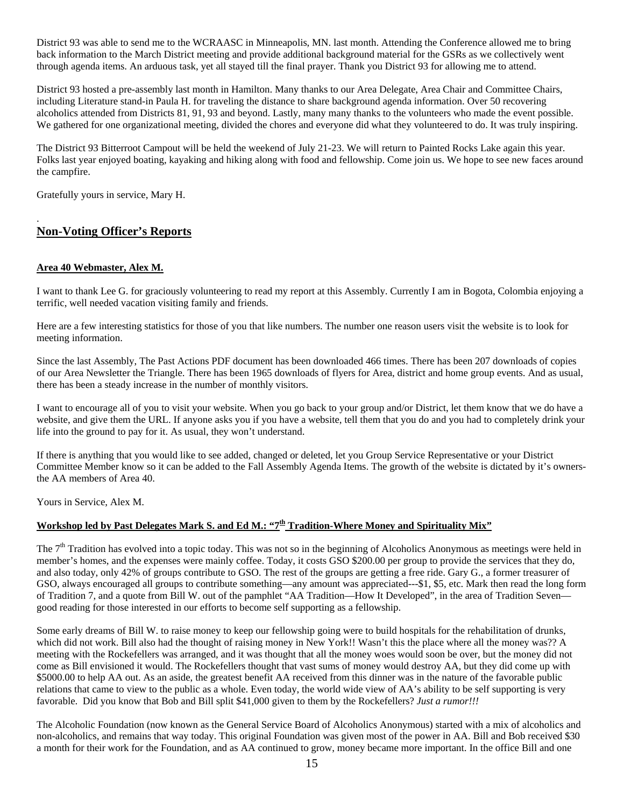District 93 was able to send me to the WCRAASC in Minneapolis, MN. last month. Attending the Conference allowed me to bring back information to the March District meeting and provide additional background material for the GSRs as we collectively went through agenda items. An arduous task, yet all stayed till the final prayer. Thank you District 93 for allowing me to attend.

District 93 hosted a pre-assembly last month in Hamilton. Many thanks to our Area Delegate, Area Chair and Committee Chairs, including Literature stand-in Paula H. for traveling the distance to share background agenda information. Over 50 recovering alcoholics attended from Districts 81, 91, 93 and beyond. Lastly, many many thanks to the volunteers who made the event possible. We gathered for one organizational meeting, divided the chores and everyone did what they volunteered to do. It was truly inspiring.

The District 93 Bitterroot Campout will be held the weekend of July 21-23. We will return to Painted Rocks Lake again this year. Folks last year enjoyed boating, kayaking and hiking along with food and fellowship. Come join us. We hope to see new faces around the campfire.

Gratefully yours in service, Mary H.

## **Non-Voting Officer's Reports**

#### **Area 40 Webmaster, Alex M.**

.

I want to thank Lee G. for graciously volunteering to read my report at this Assembly. Currently I am in Bogota, Colombia enjoying a terrific, well needed vacation visiting family and friends.

Here are a few interesting statistics for those of you that like numbers. The number one reason users visit the website is to look for meeting information.

Since the last Assembly, The Past Actions PDF document has been downloaded 466 times. There has been 207 downloads of copies of our Area Newsletter the Triangle. There has been 1965 downloads of flyers for Area, district and home group events. And as usual, there has been a steady increase in the number of monthly visitors.

I want to encourage all of you to visit your website. When you go back to your group and/or District, let them know that we do have a website, and give them the URL. If anyone asks you if you have a website, tell them that you do and you had to completely drink your life into the ground to pay for it. As usual, they won't understand.

If there is anything that you would like to see added, changed or deleted, let you Group Service Representative or your District Committee Member know so it can be added to the Fall Assembly Agenda Items. The growth of the website is dictated by it's ownersthe AA members of Area 40.

Yours in Service, Alex M.

## Workshop led by Past Delegates Mark S. and Ed M.: "7<sup>th</sup> Tradition-Where Money and Spirituality Mix"

The  $7<sup>th</sup>$  Tradition has evolved into a topic today. This was not so in the beginning of Alcoholics Anonymous as meetings were held in member's homes, and the expenses were mainly coffee. Today, it costs GSO \$200.00 per group to provide the services that they do, and also today, only 42% of groups contribute to GSO. The rest of the groups are getting a free ride. Gary G., a former treasurer of GSO, always encouraged all groups to contribute something—any amount was appreciated---\$1, \$5, etc. Mark then read the long form of Tradition 7, and a quote from Bill W. out of the pamphlet "AA Tradition—How It Developed", in the area of Tradition Seven good reading for those interested in our efforts to become self supporting as a fellowship.

Some early dreams of Bill W. to raise money to keep our fellowship going were to build hospitals for the rehabilitation of drunks, which did not work. Bill also had the thought of raising money in New York!! Wasn't this the place where all the money was?? A meeting with the Rockefellers was arranged, and it was thought that all the money woes would soon be over, but the money did not come as Bill envisioned it would. The Rockefellers thought that vast sums of money would destroy AA, but they did come up with \$5000.00 to help AA out. As an aside, the greatest benefit AA received from this dinner was in the nature of the favorable public relations that came to view to the public as a whole. Even today, the world wide view of AA's ability to be self supporting is very favorable. Did you know that Bob and Bill split \$41,000 given to them by the Rockefellers? *Just a rumor!!!*

The Alcoholic Foundation (now known as the General Service Board of Alcoholics Anonymous) started with a mix of alcoholics and non-alcoholics, and remains that way today. This original Foundation was given most of the power in AA. Bill and Bob received \$30 a month for their work for the Foundation, and as AA continued to grow, money became more important. In the office Bill and one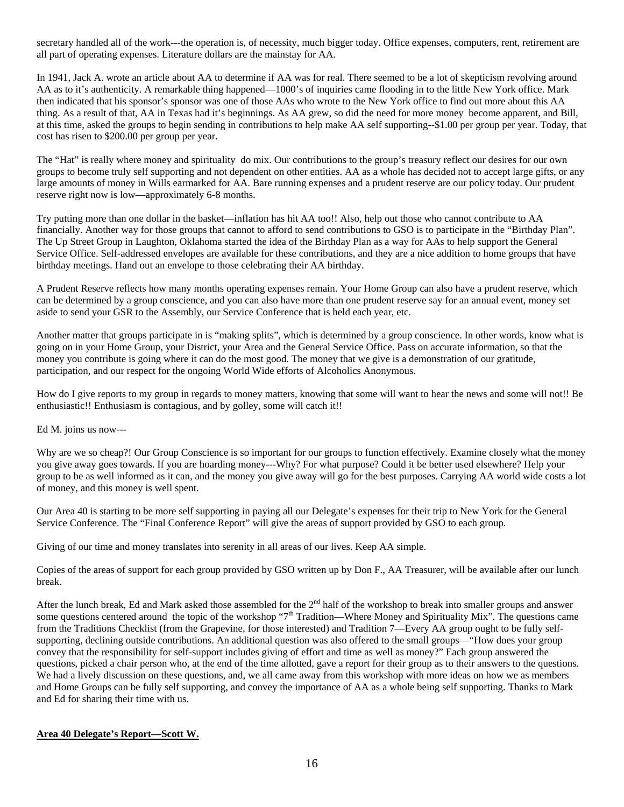secretary handled all of the work---the operation is, of necessity, much bigger today. Office expenses, computers, rent, retirement are all part of operating expenses. Literature dollars are the mainstay for AA.

In 1941, Jack A. wrote an article about AA to determine if AA was for real. There seemed to be a lot of skepticism revolving around AA as to it's authenticity. A remarkable thing happened—1000's of inquiries came flooding in to the little New York office. Mark then indicated that his sponsor's sponsor was one of those AAs who wrote to the New York office to find out more about this AA thing. As a result of that, AA in Texas had it's beginnings. As AA grew, so did the need for more money become apparent, and Bill, at this time, asked the groups to begin sending in contributions to help make AA self supporting--\$1.00 per group per year. Today, that cost has risen to \$200.00 per group per year.

The "Hat" is really where money and spirituality do mix. Our contributions to the group's treasury reflect our desires for our own groups to become truly self supporting and not dependent on other entities. AA as a whole has decided not to accept large gifts, or any large amounts of money in Wills earmarked for AA. Bare running expenses and a prudent reserve are our policy today. Our prudent reserve right now is low—approximately 6-8 months.

Try putting more than one dollar in the basket—inflation has hit AA too!! Also, help out those who cannot contribute to AA financially. Another way for those groups that cannot to afford to send contributions to GSO is to participate in the "Birthday Plan". The Up Street Group in Laughton, Oklahoma started the idea of the Birthday Plan as a way for AAs to help support the General Service Office. Self-addressed envelopes are available for these contributions, and they are a nice addition to home groups that have birthday meetings. Hand out an envelope to those celebrating their AA birthday.

A Prudent Reserve reflects how many months operating expenses remain. Your Home Group can also have a prudent reserve, which can be determined by a group conscience, and you can also have more than one prudent reserve say for an annual event, money set aside to send your GSR to the Assembly, our Service Conference that is held each year, etc.

Another matter that groups participate in is "making splits", which is determined by a group conscience. In other words, know what is going on in your Home Group, your District, your Area and the General Service Office. Pass on accurate information, so that the money you contribute is going where it can do the most good. The money that we give is a demonstration of our gratitude, participation, and our respect for the ongoing World Wide efforts of Alcoholics Anonymous.

How do I give reports to my group in regards to money matters, knowing that some will want to hear the news and some will not!! Be enthusiastic!! Enthusiasm is contagious, and by golley, some will catch it!!

Ed M. joins us now---

Why are we so cheap?! Our Group Conscience is so important for our groups to function effectively. Examine closely what the money you give away goes towards. If you are hoarding money---Why? For what purpose? Could it be better used elsewhere? Help your group to be as well informed as it can, and the money you give away will go for the best purposes. Carrying AA world wide costs a lot of money, and this money is well spent.

Our Area 40 is starting to be more self supporting in paying all our Delegate's expenses for their trip to New York for the General Service Conference. The "Final Conference Report" will give the areas of support provided by GSO to each group.

Giving of our time and money translates into serenity in all areas of our lives. Keep AA simple.

Copies of the areas of support for each group provided by GSO written up by Don F., AA Treasurer, will be available after our lunch break.

After the lunch break, Ed and Mark asked those assembled for the  $2<sup>nd</sup>$  half of the workshop to break into smaller groups and answer some questions centered around the topic of the workshop "7<sup>th</sup> Tradition—Where Money and Spirituality Mix". The questions came from the Traditions Checklist (from the Grapevine, for those interested) and Tradition 7—Every AA group ought to be fully selfsupporting, declining outside contributions. An additional question was also offered to the small groups—"How does your group convey that the responsibility for self-support includes giving of effort and time as well as money?" Each group answered the questions, picked a chair person who, at the end of the time allotted, gave a report for their group as to their answers to the questions. We had a lively discussion on these questions, and, we all came away from this workshop with more ideas on how we as members and Home Groups can be fully self supporting, and convey the importance of AA as a whole being self supporting. Thanks to Mark and Ed for sharing their time with us.

## **Area 40 Delegate's Report—Scott W.**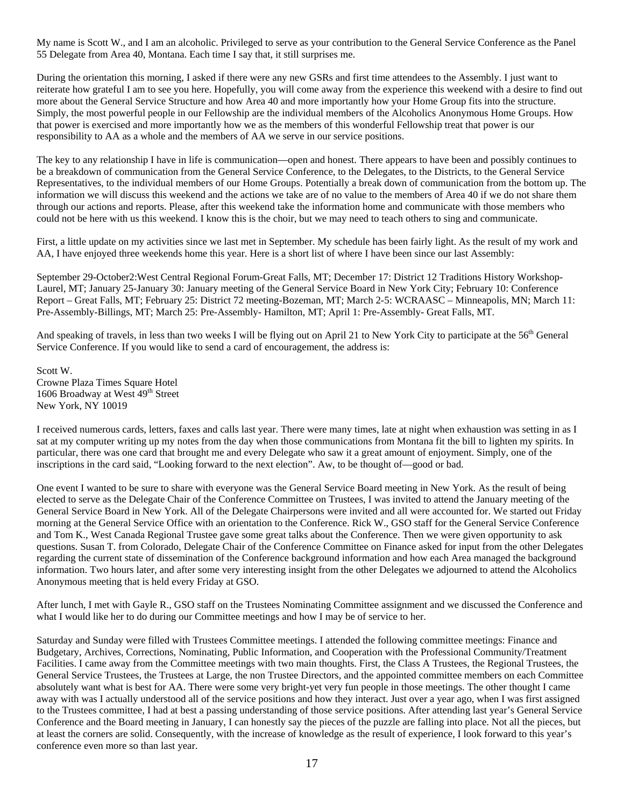My name is Scott W., and I am an alcoholic. Privileged to serve as your contribution to the General Service Conference as the Panel 55 Delegate from Area 40, Montana. Each time I say that, it still surprises me.

During the orientation this morning, I asked if there were any new GSRs and first time attendees to the Assembly. I just want to reiterate how grateful I am to see you here. Hopefully, you will come away from the experience this weekend with a desire to find out more about the General Service Structure and how Area 40 and more importantly how your Home Group fits into the structure. Simply, the most powerful people in our Fellowship are the individual members of the Alcoholics Anonymous Home Groups. How that power is exercised and more importantly how we as the members of this wonderful Fellowship treat that power is our responsibility to AA as a whole and the members of AA we serve in our service positions.

The key to any relationship I have in life is communication—open and honest. There appears to have been and possibly continues to be a breakdown of communication from the General Service Conference, to the Delegates, to the Districts, to the General Service Representatives, to the individual members of our Home Groups. Potentially a break down of communication from the bottom up. The information we will discuss this weekend and the actions we take are of no value to the members of Area 40 if we do not share them through our actions and reports. Please, after this weekend take the information home and communicate with those members who could not be here with us this weekend. I know this is the choir, but we may need to teach others to sing and communicate.

First, a little update on my activities since we last met in September. My schedule has been fairly light. As the result of my work and AA, I have enjoyed three weekends home this year. Here is a short list of where I have been since our last Assembly:

September 29-October2:West Central Regional Forum-Great Falls, MT; December 17: District 12 Traditions History Workshop-Laurel, MT; January 25-January 30: January meeting of the General Service Board in New York City; February 10: Conference Report – Great Falls, MT; February 25: District 72 meeting-Bozeman, MT; March 2-5: WCRAASC – Minneapolis, MN; March 11: Pre-Assembly-Billings, MT; March 25: Pre-Assembly- Hamilton, MT; April 1: Pre-Assembly- Great Falls, MT.

And speaking of travels, in less than two weeks I will be flying out on April 21 to New York City to participate at the 56<sup>th</sup> General Service Conference. If you would like to send a card of encouragement, the address is:

Scott W. Crowne Plaza Times Square Hotel 1606 Broadway at West 49<sup>th</sup> Street New York, NY 10019

I received numerous cards, letters, faxes and calls last year. There were many times, late at night when exhaustion was setting in as I sat at my computer writing up my notes from the day when those communications from Montana fit the bill to lighten my spirits. In particular, there was one card that brought me and every Delegate who saw it a great amount of enjoyment. Simply, one of the inscriptions in the card said, "Looking forward to the next election". Aw, to be thought of—good or bad.

One event I wanted to be sure to share with everyone was the General Service Board meeting in New York. As the result of being elected to serve as the Delegate Chair of the Conference Committee on Trustees, I was invited to attend the January meeting of the General Service Board in New York. All of the Delegate Chairpersons were invited and all were accounted for. We started out Friday morning at the General Service Office with an orientation to the Conference. Rick W., GSO staff for the General Service Conference and Tom K., West Canada Regional Trustee gave some great talks about the Conference. Then we were given opportunity to ask questions. Susan T. from Colorado, Delegate Chair of the Conference Committee on Finance asked for input from the other Delegates regarding the current state of dissemination of the Conference background information and how each Area managed the background information. Two hours later, and after some very interesting insight from the other Delegates we adjourned to attend the Alcoholics Anonymous meeting that is held every Friday at GSO.

After lunch, I met with Gayle R., GSO staff on the Trustees Nominating Committee assignment and we discussed the Conference and what I would like her to do during our Committee meetings and how I may be of service to her.

Saturday and Sunday were filled with Trustees Committee meetings. I attended the following committee meetings: Finance and Budgetary, Archives, Corrections, Nominating, Public Information, and Cooperation with the Professional Community/Treatment Facilities. I came away from the Committee meetings with two main thoughts. First, the Class A Trustees, the Regional Trustees, the General Service Trustees, the Trustees at Large, the non Trustee Directors, and the appointed committee members on each Committee absolutely want what is best for AA. There were some very bright-yet very fun people in those meetings. The other thought I came away with was I actually understood all of the service positions and how they interact. Just over a year ago, when I was first assigned to the Trustees committee, I had at best a passing understanding of those service positions. After attending last year's General Service Conference and the Board meeting in January, I can honestly say the pieces of the puzzle are falling into place. Not all the pieces, but at least the corners are solid. Consequently, with the increase of knowledge as the result of experience, I look forward to this year's conference even more so than last year.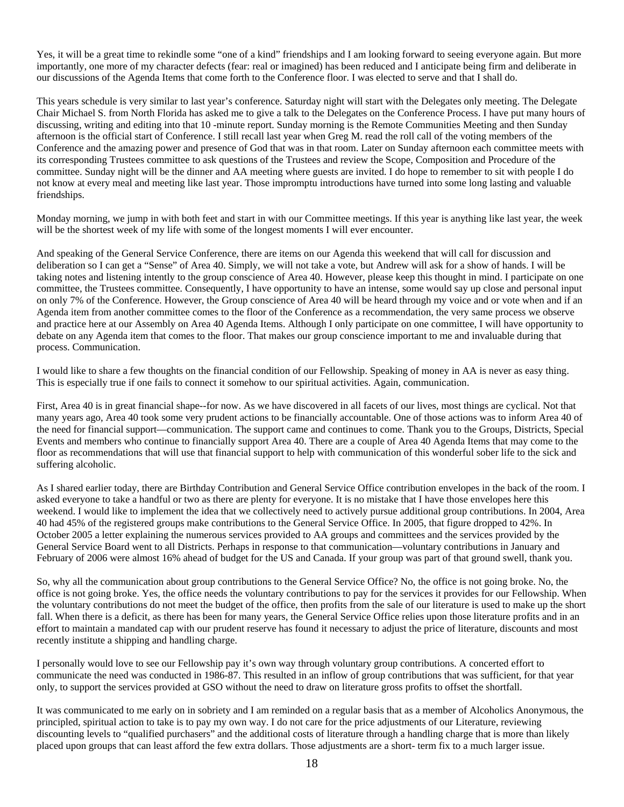Yes, it will be a great time to rekindle some "one of a kind" friendships and I am looking forward to seeing everyone again. But more importantly, one more of my character defects (fear: real or imagined) has been reduced and I anticipate being firm and deliberate in our discussions of the Agenda Items that come forth to the Conference floor. I was elected to serve and that I shall do.

This years schedule is very similar to last year's conference. Saturday night will start with the Delegates only meeting. The Delegate Chair Michael S. from North Florida has asked me to give a talk to the Delegates on the Conference Process. I have put many hours of discussing, writing and editing into that 10 -minute report. Sunday morning is the Remote Communities Meeting and then Sunday afternoon is the official start of Conference. I still recall last year when Greg M. read the roll call of the voting members of the Conference and the amazing power and presence of God that was in that room. Later on Sunday afternoon each committee meets with its corresponding Trustees committee to ask questions of the Trustees and review the Scope, Composition and Procedure of the committee. Sunday night will be the dinner and AA meeting where guests are invited. I do hope to remember to sit with people I do not know at every meal and meeting like last year. Those impromptu introductions have turned into some long lasting and valuable friendships.

Monday morning, we jump in with both feet and start in with our Committee meetings. If this year is anything like last year, the week will be the shortest week of my life with some of the longest moments I will ever encounter.

And speaking of the General Service Conference, there are items on our Agenda this weekend that will call for discussion and deliberation so I can get a "Sense" of Area 40. Simply, we will not take a vote, but Andrew will ask for a show of hands. I will be taking notes and listening intently to the group conscience of Area 40. However, please keep this thought in mind. I participate on one committee, the Trustees committee. Consequently, I have opportunity to have an intense, some would say up close and personal input on only 7% of the Conference. However, the Group conscience of Area 40 will be heard through my voice and or vote when and if an Agenda item from another committee comes to the floor of the Conference as a recommendation, the very same process we observe and practice here at our Assembly on Area 40 Agenda Items. Although I only participate on one committee, I will have opportunity to debate on any Agenda item that comes to the floor. That makes our group conscience important to me and invaluable during that process. Communication.

I would like to share a few thoughts on the financial condition of our Fellowship. Speaking of money in AA is never as easy thing. This is especially true if one fails to connect it somehow to our spiritual activities. Again, communication.

First, Area 40 is in great financial shape--for now. As we have discovered in all facets of our lives, most things are cyclical. Not that many years ago, Area 40 took some very prudent actions to be financially accountable. One of those actions was to inform Area 40 of the need for financial support—communication. The support came and continues to come. Thank you to the Groups, Districts, Special Events and members who continue to financially support Area 40. There are a couple of Area 40 Agenda Items that may come to the floor as recommendations that will use that financial support to help with communication of this wonderful sober life to the sick and suffering alcoholic.

As I shared earlier today, there are Birthday Contribution and General Service Office contribution envelopes in the back of the room. I asked everyone to take a handful or two as there are plenty for everyone. It is no mistake that I have those envelopes here this weekend. I would like to implement the idea that we collectively need to actively pursue additional group contributions. In 2004, Area 40 had 45% of the registered groups make contributions to the General Service Office. In 2005, that figure dropped to 42%. In October 2005 a letter explaining the numerous services provided to AA groups and committees and the services provided by the General Service Board went to all Districts. Perhaps in response to that communication—voluntary contributions in January and February of 2006 were almost 16% ahead of budget for the US and Canada. If your group was part of that ground swell, thank you.

So, why all the communication about group contributions to the General Service Office? No, the office is not going broke. No, the office is not going broke. Yes, the office needs the voluntary contributions to pay for the services it provides for our Fellowship. When the voluntary contributions do not meet the budget of the office, then profits from the sale of our literature is used to make up the short fall. When there is a deficit, as there has been for many years, the General Service Office relies upon those literature profits and in an effort to maintain a mandated cap with our prudent reserve has found it necessary to adjust the price of literature, discounts and most recently institute a shipping and handling charge.

I personally would love to see our Fellowship pay it's own way through voluntary group contributions. A concerted effort to communicate the need was conducted in 1986-87. This resulted in an inflow of group contributions that was sufficient, for that year only, to support the services provided at GSO without the need to draw on literature gross profits to offset the shortfall.

It was communicated to me early on in sobriety and I am reminded on a regular basis that as a member of Alcoholics Anonymous, the principled, spiritual action to take is to pay my own way. I do not care for the price adjustments of our Literature, reviewing discounting levels to "qualified purchasers" and the additional costs of literature through a handling charge that is more than likely placed upon groups that can least afford the few extra dollars. Those adjustments are a short- term fix to a much larger issue.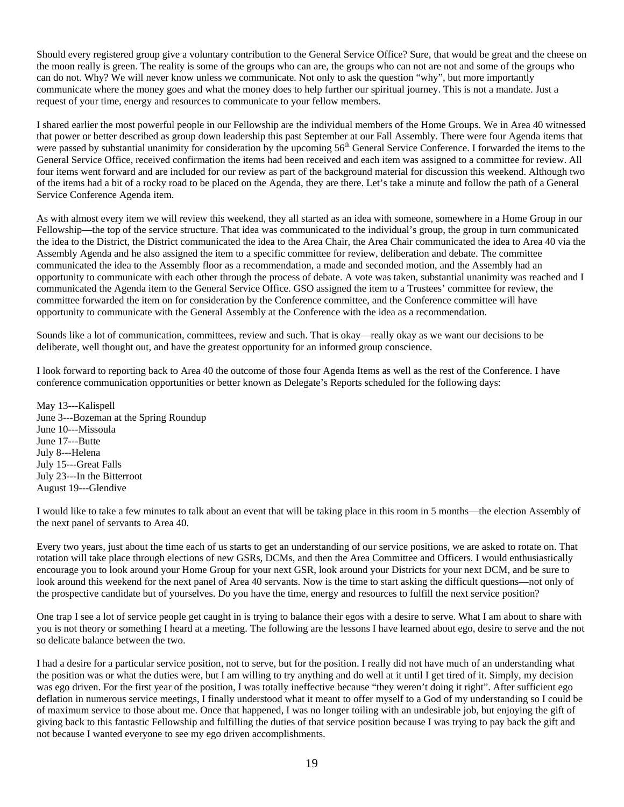Should every registered group give a voluntary contribution to the General Service Office? Sure, that would be great and the cheese on the moon really is green. The reality is some of the groups who can are, the groups who can not are not and some of the groups who can do not. Why? We will never know unless we communicate. Not only to ask the question "why", but more importantly communicate where the money goes and what the money does to help further our spiritual journey. This is not a mandate. Just a request of your time, energy and resources to communicate to your fellow members.

I shared earlier the most powerful people in our Fellowship are the individual members of the Home Groups. We in Area 40 witnessed that power or better described as group down leadership this past September at our Fall Assembly. There were four Agenda items that were passed by substantial unanimity for consideration by the upcoming 56<sup>th</sup> General Service Conference. I forwarded the items to the General Service Office, received confirmation the items had been received and each item was assigned to a committee for review. All four items went forward and are included for our review as part of the background material for discussion this weekend. Although two of the items had a bit of a rocky road to be placed on the Agenda, they are there. Let's take a minute and follow the path of a General Service Conference Agenda item.

As with almost every item we will review this weekend, they all started as an idea with someone, somewhere in a Home Group in our Fellowship—the top of the service structure. That idea was communicated to the individual's group, the group in turn communicated the idea to the District, the District communicated the idea to the Area Chair, the Area Chair communicated the idea to Area 40 via the Assembly Agenda and he also assigned the item to a specific committee for review, deliberation and debate. The committee communicated the idea to the Assembly floor as a recommendation, a made and seconded motion, and the Assembly had an opportunity to communicate with each other through the process of debate. A vote was taken, substantial unanimity was reached and I communicated the Agenda item to the General Service Office. GSO assigned the item to a Trustees' committee for review, the committee forwarded the item on for consideration by the Conference committee, and the Conference committee will have opportunity to communicate with the General Assembly at the Conference with the idea as a recommendation.

Sounds like a lot of communication, committees, review and such. That is okay—really okay as we want our decisions to be deliberate, well thought out, and have the greatest opportunity for an informed group conscience.

I look forward to reporting back to Area 40 the outcome of those four Agenda Items as well as the rest of the Conference. I have conference communication opportunities or better known as Delegate's Reports scheduled for the following days:

May 13---Kalispell June 3---Bozeman at the Spring Roundup June 10---Missoula June 17---Butte July 8---Helena July 15---Great Falls July 23---In the Bitterroot August 19---Glendive

I would like to take a few minutes to talk about an event that will be taking place in this room in 5 months—the election Assembly of the next panel of servants to Area 40.

Every two years, just about the time each of us starts to get an understanding of our service positions, we are asked to rotate on. That rotation will take place through elections of new GSRs, DCMs, and then the Area Committee and Officers. I would enthusiastically encourage you to look around your Home Group for your next GSR, look around your Districts for your next DCM, and be sure to look around this weekend for the next panel of Area 40 servants. Now is the time to start asking the difficult questions—not only of the prospective candidate but of yourselves. Do you have the time, energy and resources to fulfill the next service position?

One trap I see a lot of service people get caught in is trying to balance their egos with a desire to serve. What I am about to share with you is not theory or something I heard at a meeting. The following are the lessons I have learned about ego, desire to serve and the not so delicate balance between the two.

I had a desire for a particular service position, not to serve, but for the position. I really did not have much of an understanding what the position was or what the duties were, but I am willing to try anything and do well at it until I get tired of it. Simply, my decision was ego driven. For the first year of the position, I was totally ineffective because "they weren't doing it right". After sufficient ego deflation in numerous service meetings, I finally understood what it meant to offer myself to a God of my understanding so I could be of maximum service to those about me. Once that happened, I was no longer toiling with an undesirable job, but enjoying the gift of giving back to this fantastic Fellowship and fulfilling the duties of that service position because I was trying to pay back the gift and not because I wanted everyone to see my ego driven accomplishments.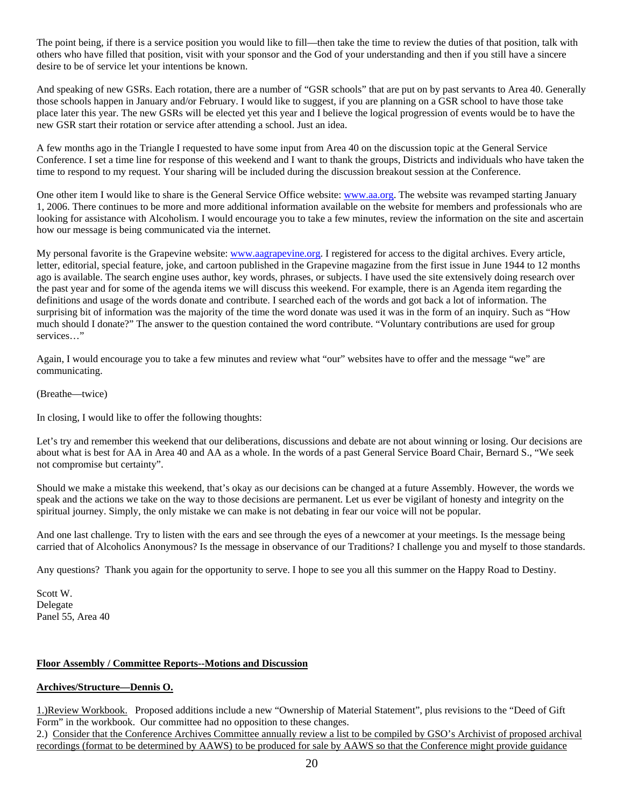The point being, if there is a service position you would like to fill—then take the time to review the duties of that position, talk with others who have filled that position, visit with your sponsor and the God of your understanding and then if you still have a sincere desire to be of service let your intentions be known.

And speaking of new GSRs. Each rotation, there are a number of "GSR schools" that are put on by past servants to Area 40. Generally those schools happen in January and/or February. I would like to suggest, if you are planning on a GSR school to have those take place later this year. The new GSRs will be elected yet this year and I believe the logical progression of events would be to have the new GSR start their rotation or service after attending a school. Just an idea.

A few months ago in the Triangle I requested to have some input from Area 40 on the discussion topic at the General Service Conference. I set a time line for response of this weekend and I want to thank the groups, Districts and individuals who have taken the time to respond to my request. Your sharing will be included during the discussion breakout session at the Conference.

One other item I would like to share is the General Service Office website: [www.aa.org](http://www.aa.org/). The website was revamped starting January 1, 2006. There continues to be more and more additional information available on the website for members and professionals who are looking for assistance with Alcoholism. I would encourage you to take a few minutes, review the information on the site and ascertain how our message is being communicated via the internet.

My personal favorite is the Grapevine website: [www.aagrapevine.org.](http://www.aagrapevine.org/) I registered for access to the digital archives. Every article, letter, editorial, special feature, joke, and cartoon published in the Grapevine magazine from the first issue in June 1944 to 12 months ago is available. The search engine uses author, key words, phrases, or subjects. I have used the site extensively doing research over the past year and for some of the agenda items we will discuss this weekend. For example, there is an Agenda item regarding the definitions and usage of the words donate and contribute. I searched each of the words and got back a lot of information. The surprising bit of information was the majority of the time the word donate was used it was in the form of an inquiry. Such as "How much should I donate?" The answer to the question contained the word contribute. "Voluntary contributions are used for group services…"

Again, I would encourage you to take a few minutes and review what "our" websites have to offer and the message "we" are communicating.

(Breathe—twice)

In closing, I would like to offer the following thoughts:

Let's try and remember this weekend that our deliberations, discussions and debate are not about winning or losing. Our decisions are about what is best for AA in Area 40 and AA as a whole. In the words of a past General Service Board Chair, Bernard S., "We seek not compromise but certainty".

Should we make a mistake this weekend, that's okay as our decisions can be changed at a future Assembly. However, the words we speak and the actions we take on the way to those decisions are permanent. Let us ever be vigilant of honesty and integrity on the spiritual journey. Simply, the only mistake we can make is not debating in fear our voice will not be popular.

And one last challenge. Try to listen with the ears and see through the eyes of a newcomer at your meetings. Is the message being carried that of Alcoholics Anonymous? Is the message in observance of our Traditions? I challenge you and myself to those standards.

Any questions? Thank you again for the opportunity to serve. I hope to see you all this summer on the Happy Road to Destiny.

Scott W. Delegate Panel 55, Area 40

### **Floor Assembly / Committee Reports--Motions and Discussion**

### **Archives/Structure—Dennis O.**

1.)Review Workbook. Proposed additions include a new "Ownership of Material Statement", plus revisions to the "Deed of Gift Form" in the workbook. Our committee had no opposition to these changes.

2.) Consider that the Conference Archives Committee annually review a list to be compiled by GSO's Archivist of proposed archival recordings (format to be determined by AAWS) to be produced for sale by AAWS so that the Conference might provide guidance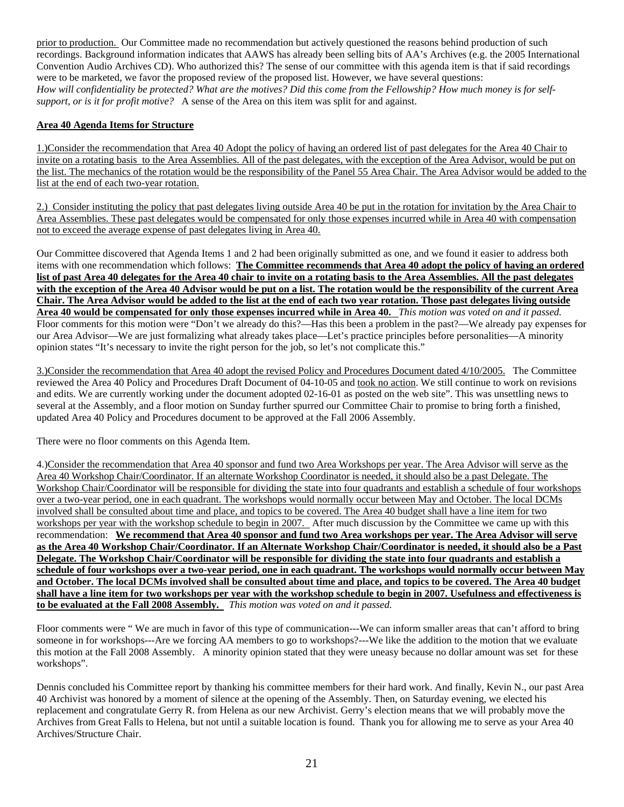prior to production. Our Committee made no recommendation but actively questioned the reasons behind production of such recordings. Background information indicates that AAWS has already been selling bits of AA's Archives (e.g. the 2005 International Convention Audio Archives CD). Who authorized this? The sense of our committee with this agenda item is that if said recordings were to be marketed, we favor the proposed review of the proposed list. However, we have several questions: *How will confidentiality be protected? What are the motives? Did this come from the Fellowship? How much money is for selfsupport, or is it for profit motive?* A sense of the Area on this item was split for and against.

## **Area 40 Agenda Items for Structure**

1.)Consider the recommendation that Area 40 Adopt the policy of having an ordered list of past delegates for the Area 40 Chair to invite on a rotating basis to the Area Assemblies. All of the past delegates, with the exception of the Area Advisor, would be put on the list. The mechanics of the rotation would be the responsibility of the Panel 55 Area Chair. The Area Advisor would be added to the list at the end of each two-year rotation.

2.) Consider instituting the policy that past delegates living outside Area 40 be put in the rotation for invitation by the Area Chair to Area Assemblies. These past delegates would be compensated for only those expenses incurred while in Area 40 with compensation not to exceed the average expense of past delegates living in Area 40.

Our Committee discovered that Agenda Items 1 and 2 had been originally submitted as one, and we found it easier to address both items with one recommendation which follows: **The Committee recommends that Area 40 adopt the policy of having an ordered list of past Area 40 delegates for the Area 40 chair to invite on a rotating basis to the Area Assemblies. All the past delegates with the exception of the Area 40 Advisor would be put on a list. The rotation would be the responsibility of the current Area Chair. The Area Advisor would be added to the list at the end of each two year rotation. Those past delegates living outside Area 40 would be compensated for only those expenses incurred while in Area 40.** *This motion was voted on and it passed.*  Floor comments for this motion were "Don't we already do this?—Has this been a problem in the past?—We already pay expenses for our Area Advisor—We are just formalizing what already takes place—Let's practice principles before personalities—A minority opinion states "It's necessary to invite the right person for the job, so let's not complicate this."

3.)Consider the recommendation that Area 40 adopt the revised Policy and Procedures Document dated 4/10/2005. The Committee reviewed the Area 40 Policy and Procedures Draft Document of 04-10-05 and took no action. We still continue to work on revisions and edits. We are currently working under the document adopted 02-16-01 as posted on the web site". This was unsettling news to several at the Assembly, and a floor motion on Sunday further spurred our Committee Chair to promise to bring forth a finished, updated Area 40 Policy and Procedures document to be approved at the Fall 2006 Assembly.

There were no floor comments on this Agenda Item.

4.)Consider the recommendation that Area 40 sponsor and fund two Area Workshops per year. The Area Advisor will serve as the Area 40 Workshop Chair/Coordinator. If an alternate Workshop Coordinator is needed, it should also be a past Delegate. The Workshop Chair/Coordinator will be responsible for dividing the state into four quadrants and establish a schedule of four workshops over a two-year period, one in each quadrant. The workshops would normally occur between May and October. The local DCMs involved shall be consulted about time and place, and topics to be covered. The Area 40 budget shall have a line item for two workshops per year with the workshop schedule to begin in 2007. After much discussion by the Committee we came up with this recommendation: **We recommend that Area 40 sponsor and fund two Area workshops per year. The Area Advisor will serve as the Area 40 Workshop Chair/Coordinator. If an Alternate Workshop Chair/Coordinator is needed, it should also be a Past Delegate. The Workshop Chair/Coordinator will be responsible for dividing the state into four quadrants and establish a schedule of four workshops over a two-year period, one in each quadrant. The workshops would normally occur between May and October. The local DCMs involved shall be consulted about time and place, and topics to be covered. The Area 40 budget shall have a line item for two workshops per year with the workshop schedule to begin in 2007. Usefulness and effectiveness is to be evaluated at the Fall 2008 Assembly.** *This motion was voted on and it passed.* 

Floor comments were " We are much in favor of this type of communication---We can inform smaller areas that can't afford to bring someone in for workshops---Are we forcing AA members to go to workshops?---We like the addition to the motion that we evaluate this motion at the Fall 2008 Assembly. A minority opinion stated that they were uneasy because no dollar amount was set for these workshops".

Dennis concluded his Committee report by thanking his committee members for their hard work. And finally, Kevin N., our past Area 40 Archivist was honored by a moment of silence at the opening of the Assembly. Then, on Saturday evening, we elected his replacement and congratulate Gerry R. from Helena as our new Archivist. Gerry's election means that we will probably move the Archives from Great Falls to Helena, but not until a suitable location is found. Thank you for allowing me to serve as your Area 40 Archives/Structure Chair.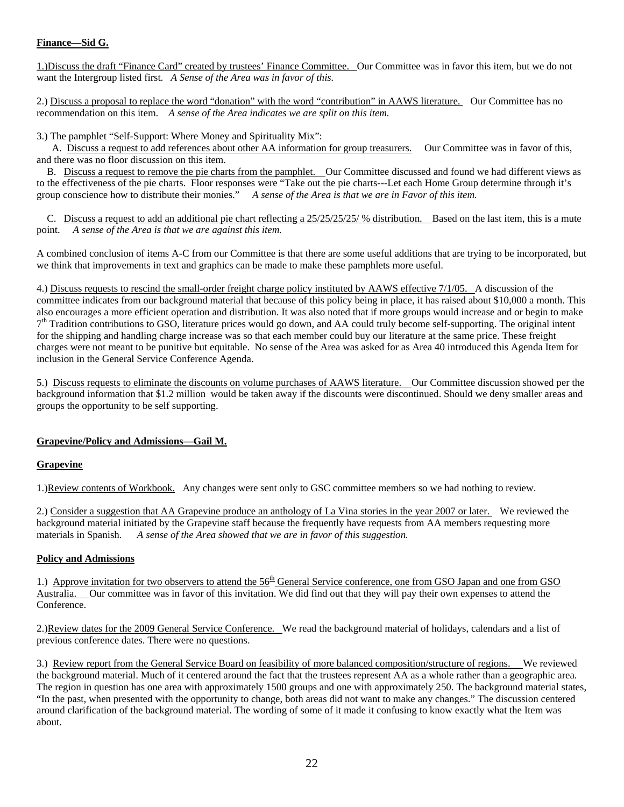## **Finance—Sid G.**

1.)Discuss the draft "Finance Card" created by trustees' Finance Committee. Our Committee was in favor this item, but we do not want the Intergroup listed first. *A Sense of the Area was in favor of this.*

2.) Discuss a proposal to replace the word "donation" with the word "contribution" in AAWS literature. Our Committee has no recommendation on this item. *A sense of the Area indicates we are split on this item.* 

3.) The pamphlet "Self-Support: Where Money and Spirituality Mix":

 A. Discuss a request to add references about other AA information for group treasurers. Our Committee was in favor of this, and there was no floor discussion on this item.

 B. Discuss a request to remove the pie charts from the pamphlet. Our Committee discussed and found we had different views as to the effectiveness of the pie charts. Floor responses were "Take out the pie charts---Let each Home Group determine through it's group conscience how to distribute their monies." *A sense of the Area is that we are in Favor of this item.* 

C. Discuss a request to add an additional pie chart reflecting a 25/25/25/25/ % distribution. Based on the last item, this is a mute point. *A sense of the Area is that we are against this item.* 

A combined conclusion of items A-C from our Committee is that there are some useful additions that are trying to be incorporated, but we think that improvements in text and graphics can be made to make these pamphlets more useful.

4.) Discuss requests to rescind the small-order freight charge policy instituted by AAWS effective 7/1/05. A discussion of the committee indicates from our background material that because of this policy being in place, it has raised about \$10,000 a month. This also encourages a more efficient operation and distribution. It was also noted that if more groups would increase and or begin to make  $7<sup>th</sup>$  Tradition contributions to GSO, literature prices would go down, and AA could truly become self-supporting. The original intent for the shipping and handling charge increase was so that each member could buy our literature at the same price. These freight charges were not meant to be punitive but equitable. No sense of the Area was asked for as Area 40 introduced this Agenda Item for inclusion in the General Service Conference Agenda.

5.) Discuss requests to eliminate the discounts on volume purchases of AAWS literature. Our Committee discussion showed per the background information that \$1.2 million would be taken away if the discounts were discontinued. Should we deny smaller areas and groups the opportunity to be self supporting.

### **Grapevine/Policy and Admissions—Gail M.**

### **Grapevine**

1.)Review contents of Workbook. Any changes were sent only to GSC committee members so we had nothing to review.

2.) Consider a suggestion that AA Grapevine produce an anthology of La Vina stories in the year 2007 or later. We reviewed the background material initiated by the Grapevine staff because the frequently have requests from AA members requesting more materials in Spanish. *A sense of the Area showed that we are in favor of this suggestion.* 

### **Policy and Admissions**

1.) Approve invitation for two observers to attend the  $56<sup>th</sup>$  General Service conference, one from GSO Japan and one from GSO Australia. Our committee was in favor of this invitation. We did find out that they will pay their own expenses to attend the Conference.

2.)Review dates for the 2009 General Service Conference. We read the background material of holidays, calendars and a list of previous conference dates. There were no questions.

3.) Review report from the General Service Board on feasibility of more balanced composition/structure of regions. We reviewed the background material. Much of it centered around the fact that the trustees represent AA as a whole rather than a geographic area. The region in question has one area with approximately 1500 groups and one with approximately 250. The background material states, "In the past, when presented with the opportunity to change, both areas did not want to make any changes." The discussion centered around clarification of the background material. The wording of some of it made it confusing to know exactly what the Item was about.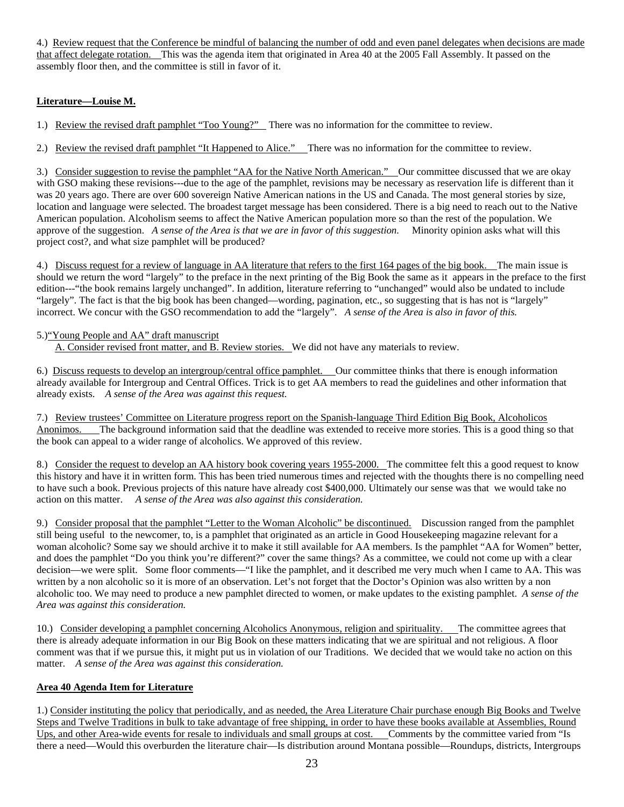4.) Review request that the Conference be mindful of balancing the number of odd and even panel delegates when decisions are made that affect delegate rotation. This was the agenda item that originated in Area 40 at the 2005 Fall Assembly. It passed on the assembly floor then, and the committee is still in favor of it.

## **Literature—Louise M.**

1.) Review the revised draft pamphlet "Too Young?" There was no information for the committee to review.

2.) Review the revised draft pamphlet "It Happened to Alice." There was no information for the committee to review.

3.) Consider suggestion to revise the pamphlet "AA for the Native North American." Our committee discussed that we are okay with GSO making these revisions---due to the age of the pamphlet, revisions may be necessary as reservation life is different than it was 20 years ago. There are over 600 sovereign Native American nations in the US and Canada. The most general stories by size, location and language were selected. The broadest target message has been considered. There is a big need to reach out to the Native American population. Alcoholism seems to affect the Native American population more so than the rest of the population. We approve of the suggestion. A sense of the Area is that we are in favor of this suggestion. Minority opinion asks what will this project cost?, and what size pamphlet will be produced?

4.) Discuss request for a review of language in AA literature that refers to the first 164 pages of the big book. The main issue is should we return the word "largely" to the preface in the next printing of the Big Book the same as it appears in the preface to the first edition---"the book remains largely unchanged". In addition, literature referring to "unchanged" would also be undated to include "largely". The fact is that the big book has been changed—wording, pagination, etc., so suggesting that is has not is "largely" incorrect. We concur with the GSO recommendation to add the "largely". *A sense of the Area is also in favor of this.* 

## 5.)"Young People and AA" draft manuscript

A. Consider revised front matter, and B. Review stories. We did not have any materials to review.

6.) Discuss requests to develop an intergroup/central office pamphlet. Our committee thinks that there is enough information already available for Intergroup and Central Offices. Trick is to get AA members to read the guidelines and other information that already exists. *A sense of the Area was against this request.* 

7.) Review trustees' Committee on Literature progress report on the Spanish-language Third Edition Big Book, Alcoholicos Anonimos. The background information said that the deadline was extended to receive more stories. This is a good thing so that the book can appeal to a wider range of alcoholics. We approved of this review.

8.) Consider the request to develop an AA history book covering years 1955-2000. The committee felt this a good request to know this history and have it in written form. This has been tried numerous times and rejected with the thoughts there is no compelling need to have such a book. Previous projects of this nature have already cost \$400,000. Ultimately our sense was that we would take no action on this matter. *A sense of the Area was also against this consideration.* 

9.) Consider proposal that the pamphlet "Letter to the Woman Alcoholic" be discontinued. Discussion ranged from the pamphlet still being useful to the newcomer, to, is a pamphlet that originated as an article in Good Housekeeping magazine relevant for a woman alcoholic? Some say we should archive it to make it still available for AA members. Is the pamphlet "AA for Women" better, and does the pamphlet "Do you think you're different?" cover the same things? As a committee, we could not come up with a clear decision—we were split. Some floor comments—"I like the pamphlet, and it described me very much when I came to AA. This was written by a non alcoholic so it is more of an observation. Let's not forget that the Doctor's Opinion was also written by a non alcoholic too. We may need to produce a new pamphlet directed to women, or make updates to the existing pamphlet. *A sense of the Area was against this consideration.* 

10.) Consider developing a pamphlet concerning Alcoholics Anonymous, religion and spirituality. The committee agrees that there is already adequate information in our Big Book on these matters indicating that we are spiritual and not religious. A floor comment was that if we pursue this, it might put us in violation of our Traditions. We decided that we would take no action on this matter. *A sense of the Area was against this consideration.* 

### **Area 40 Agenda Item for Literature**

1.) Consider instituting the policy that periodically, and as needed, the Area Literature Chair purchase enough Big Books and Twelve Steps and Twelve Traditions in bulk to take advantage of free shipping, in order to have these books available at Assemblies, Round Ups, and other Area-wide events for resale to individuals and small groups at cost. Comments by the committee varied from "Is there a need—Would this overburden the literature chair—Is distribution around Montana possible—Roundups, districts, Intergroups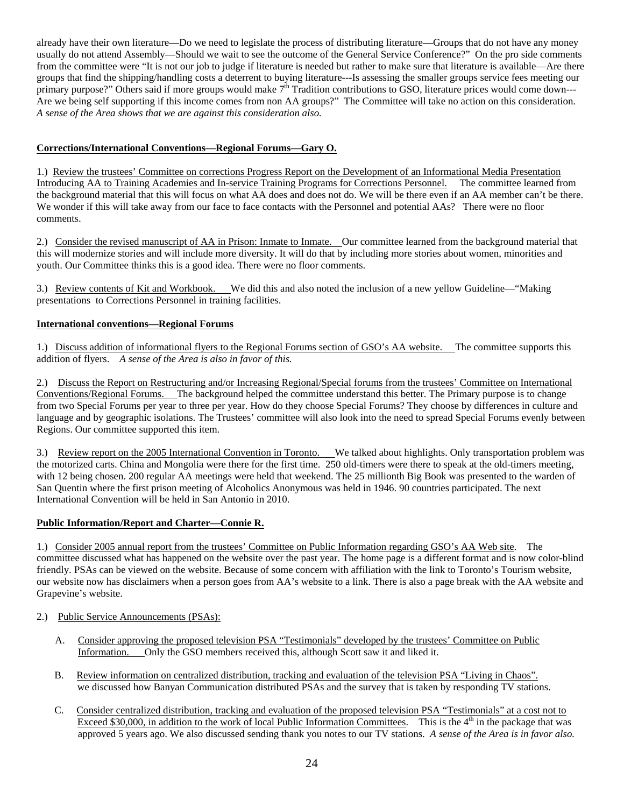already have their own literature—Do we need to legislate the process of distributing literature—Groups that do not have any money usually do not attend Assembly—Should we wait to see the outcome of the General Service Conference?" On the pro side comments from the committee were "It is not our job to judge if literature is needed but rather to make sure that literature is available—Are there groups that find the shipping/handling costs a deterrent to buying literature---Is assessing the smaller groups service fees meeting our primary purpose?" Others said if more groups would make  $7<sup>th</sup>$  Tradition contributions to GSO, literature prices would come down---Are we being self supporting if this income comes from non AA groups?" The Committee will take no action on this consideration. *A sense of the Area shows that we are against this consideration also.* 

## **Corrections/International Conventions—Regional Forums—Gary O.**

1.) Review the trustees' Committee on corrections Progress Report on the Development of an Informational Media Presentation Introducing AA to Training Academies and In-service Training Programs for Corrections Personnel. The committee learned from the background material that this will focus on what AA does and does not do. We will be there even if an AA member can't be there. We wonder if this will take away from our face to face contacts with the Personnel and potential AAs? There were no floor comments.

2.) Consider the revised manuscript of AA in Prison: Inmate to Inmate. Our committee learned from the background material that this will modernize stories and will include more diversity. It will do that by including more stories about women, minorities and youth. Our Committee thinks this is a good idea. There were no floor comments.

3.) Review contents of Kit and Workbook. We did this and also noted the inclusion of a new yellow Guideline—"Making presentations to Corrections Personnel in training facilities.

## **International conventions—Regional Forums**

1.) Discuss addition of informational flyers to the Regional Forums section of GSO's AA website. The committee supports this addition of flyers. *A sense of the Area is also in favor of this.* 

2.) Discuss the Report on Restructuring and/or Increasing Regional/Special forums from the trustees' Committee on International Conventions/Regional Forums. The background helped the committee understand this better. The Primary purpose is to change from two Special Forums per year to three per year. How do they choose Special Forums? They choose by differences in culture and language and by geographic isolations. The Trustees' committee will also look into the need to spread Special Forums evenly between Regions. Our committee supported this item.

3.) Review report on the 2005 International Convention in Toronto. We talked about highlights. Only transportation problem was the motorized carts. China and Mongolia were there for the first time. 250 old-timers were there to speak at the old-timers meeting, with 12 being chosen. 200 regular AA meetings were held that weekend. The 25 millionth Big Book was presented to the warden of San Quentin where the first prison meeting of Alcoholics Anonymous was held in 1946. 90 countries participated. The next International Convention will be held in San Antonio in 2010.

### **Public Information/Report and Charter—Connie R.**

1.) Consider 2005 annual report from the trustees' Committee on Public Information regarding GSO's AA Web site. The committee discussed what has happened on the website over the past year. The home page is a different format and is now color-blind friendly. PSAs can be viewed on the website. Because of some concern with affiliation with the link to Toronto's Tourism website, our website now has disclaimers when a person goes from AA's website to a link. There is also a page break with the AA website and Grapevine's website.

### 2.) Public Service Announcements (PSAs):

- A. Consider approving the proposed television PSA "Testimonials" developed by the trustees' Committee on Public Information. Only the GSO members received this, although Scott saw it and liked it.
- B. Review information on centralized distribution, tracking and evaluation of the television PSA "Living in Chaos". we discussed how Banyan Communication distributed PSAs and the survey that is taken by responding TV stations.
- C. Consider centralized distribution, tracking and evaluation of the proposed television PSA "Testimonials" at a cost not to Exceed \$30,000, in addition to the work of local Public Information Committees. This is the  $4<sup>th</sup>$  in the package that was approved 5 years ago. We also discussed sending thank you notes to our TV stations. *A sense of the Area is in favor also.*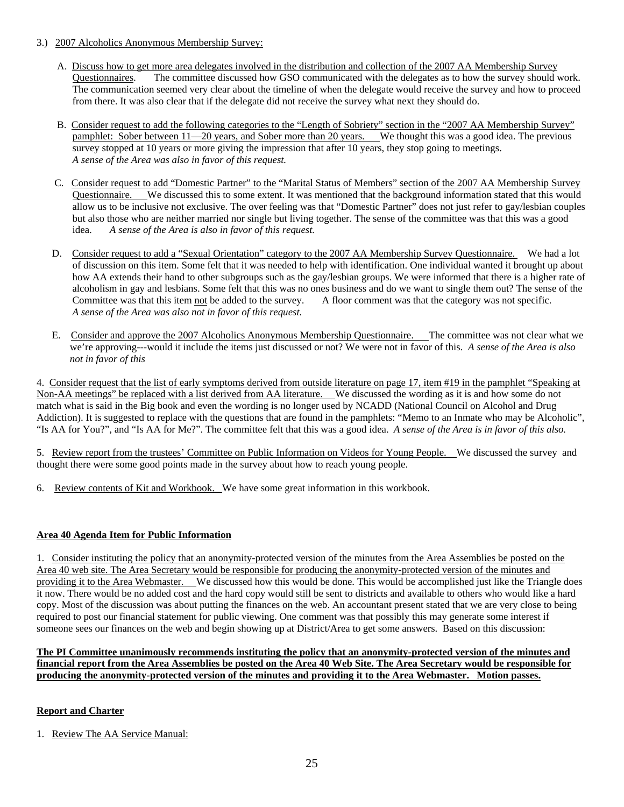## 3.) 2007 Alcoholics Anonymous Membership Survey:

- A. Discuss how to get more area delegates involved in the distribution and collection of the 2007 AA Membership Survey Questionnaires. The committee discussed how GSO communicated with the delegates as to how the survey should work. The communication seemed very clear about the timeline of when the delegate would receive the survey and how to proceed from there. It was also clear that if the delegate did not receive the survey what next they should do.
- B. Consider request to add the following categories to the "Length of Sobriety" section in the "2007 AA Membership Survey" pamphlet: Sober between 11—20 years, and Sober more than 20 years. We thought this was a good idea. The previous survey stopped at 10 years or more giving the impression that after 10 years, they stop going to meetings. *A sense of the Area was also in favor of this request.*
- C. Consider request to add "Domestic Partner" to the "Marital Status of Members" section of the 2007 AA Membership Survey Questionnaire. We discussed this to some extent. It was mentioned that the background information stated that this would allow us to be inclusive not exclusive. The over feeling was that "Domestic Partner" does not just refer to gay/lesbian couples but also those who are neither married nor single but living together. The sense of the committee was that this was a good idea. *A sense of the Area is also in favor of this request.*
- D. Consider request to add a "Sexual Orientation" category to the 2007 AA Membership Survey Questionnaire. We had a lot of discussion on this item. Some felt that it was needed to help with identification. One individual wanted it brought up about how AA extends their hand to other subgroups such as the gay/lesbian groups. We were informed that there is a higher rate of alcoholism in gay and lesbians. Some felt that this was no ones business and do we want to single them out? The sense of the Committee was that this item not be added to the survey. A floor comment was that the category was not specific. *A sense of the Area was also not in favor of this request.*
- E. Consider and approve the 2007 Alcoholics Anonymous Membership Questionnaire. The committee was not clear what we we're approving---would it include the items just discussed or not? We were not in favor of this. *A sense of the Area is also not in favor of this*

4. Consider request that the list of early symptoms derived from outside literature on page 17, item #19 in the pamphlet "Speaking at Non-AA meetings" be replaced with a list derived from AA literature. We discussed the wording as it is and how some do not match what is said in the Big book and even the wording is no longer used by NCADD (National Council on Alcohol and Drug Addiction). It is suggested to replace with the questions that are found in the pamphlets: "Memo to an Inmate who may be Alcoholic", "Is AA for You?", and "Is AA for Me?". The committee felt that this was a good idea. *A sense of the Area is in favor of this also.* 

5. Review report from the trustees' Committee on Public Information on Videos for Young People. We discussed the survey and thought there were some good points made in the survey about how to reach young people.

6. Review contents of Kit and Workbook. We have some great information in this workbook.

## **Area 40 Agenda Item for Public Information**

1. Consider instituting the policy that an anonymity-protected version of the minutes from the Area Assemblies be posted on the Area 40 web site. The Area Secretary would be responsible for producing the anonymity-protected version of the minutes and providing it to the Area Webmaster. We discussed how this would be done. This would be accomplished just like the Triangle does it now. There would be no added cost and the hard copy would still be sent to districts and available to others who would like a hard copy. Most of the discussion was about putting the finances on the web. An accountant present stated that we are very close to being required to post our financial statement for public viewing. One comment was that possibly this may generate some interest if someone sees our finances on the web and begin showing up at District/Area to get some answers. Based on this discussion:

#### **The PI Committee unanimously recommends instituting the policy that an anonymity-protected version of the minutes and financial report from the Area Assemblies be posted on the Area 40 Web Site. The Area Secretary would be responsible for producing the anonymity-protected version of the minutes and providing it to the Area Webmaster. Motion passes.**

## **Report and Charter**

1. Review The AA Service Manual: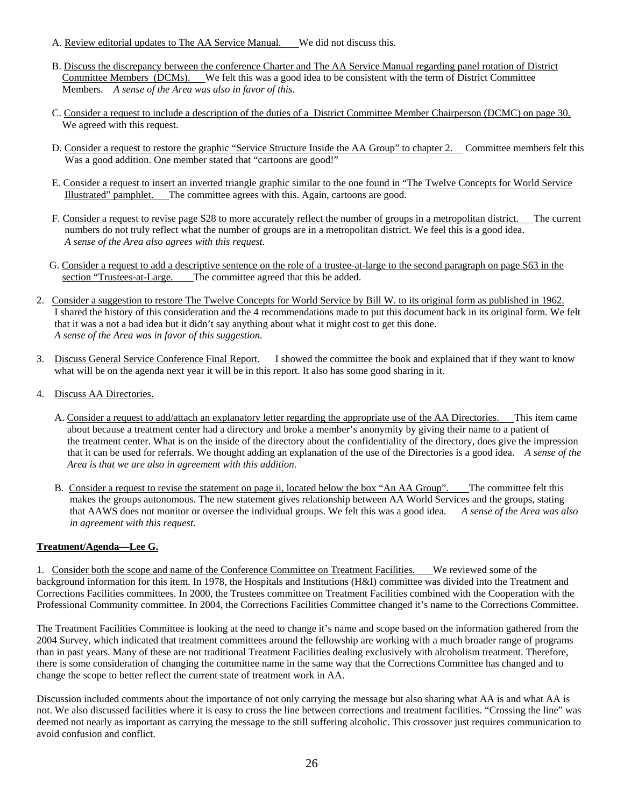- A. Review editorial updates to The AA Service Manual. We did not discuss this.
- B. Discuss the discrepancy between the conference Charter and The AA Service Manual regarding panel rotation of District Committee Members (DCMs). We felt this was a good idea to be consistent with the term of District Committee Members. *A sense of the Area was also in favor of this.*
- C. Consider a request to include a description of the duties of a District Committee Member Chairperson (DCMC) on page 30. We agreed with this request.
- D. Consider a request to restore the graphic "Service Structure Inside the AA Group" to chapter 2. Committee members felt this Was a good addition. One member stated that "cartoons are good!"
- E. Consider a request to insert an inverted triangle graphic similar to the one found in "The Twelve Concepts for World Service Illustrated" pamphlet. The committee agrees with this. Again, cartoons are good.
- F. Consider a request to revise page S28 to more accurately reflect the number of groups in a metropolitan district. The current numbers do not truly reflect what the number of groups are in a metropolitan district. We feel this is a good idea. *A sense of the Area also agrees with this request.*
- G. Consider a request to add a descriptive sentence on the role of a trustee-at-large to the second paragraph on page S63 in the section "Trustees-at-Large. The committee agreed that this be added.
- 2. Consider a suggestion to restore The Twelve Concepts for World Service by Bill W. to its original form as published in 1962. I shared the history of this consideration and the 4 recommendations made to put this document back in its original form. We felt that it was a not a bad idea but it didn't say anything about what it might cost to get this done. *A sense of the Area was in favor of this suggestion.*
- 3. Discuss General Service Conference Final Report. I showed the committee the book and explained that if they want to know what will be on the agenda next year it will be in this report. It also has some good sharing in it.
- 4. Discuss AA Directories.
	- A. Consider a request to add/attach an explanatory letter regarding the appropriate use of the AA Directories. This item came about because a treatment center had a directory and broke a member's anonymity by giving their name to a patient of the treatment center. What is on the inside of the directory about the confidentiality of the directory, does give the impression that it can be used for referrals. We thought adding an explanation of the use of the Directories is a good idea. *A sense of the Area is that we are also in agreement with this addition.*
	- B. Consider a request to revise the statement on page ii, located below the box "An AA Group". The committee felt this makes the groups autonomous. The new statement gives relationship between AA World Services and the groups, stating that AAWS does not monitor or oversee the individual groups. We felt this was a good idea. *A sense of the Area was also in agreement with this request.*

### **Treatment/Agenda—Lee G.**

1. Consider both the scope and name of the Conference Committee on Treatment Facilities. We reviewed some of the background information for this item. In 1978, the Hospitals and Institutions (H&I) committee was divided into the Treatment and Corrections Facilities committees. In 2000, the Trustees committee on Treatment Facilities combined with the Cooperation with the Professional Community committee. In 2004, the Corrections Facilities Committee changed it's name to the Corrections Committee.

The Treatment Facilities Committee is looking at the need to change it's name and scope based on the information gathered from the 2004 Survey, which indicated that treatment committees around the fellowship are working with a much broader range of programs than in past years. Many of these are not traditional Treatment Facilities dealing exclusively with alcoholism treatment. Therefore, there is some consideration of changing the committee name in the same way that the Corrections Committee has changed and to change the scope to better reflect the current state of treatment work in AA.

Discussion included comments about the importance of not only carrying the message but also sharing what AA is and what AA is not. We also discussed facilities where it is easy to cross the line between corrections and treatment facilities. "Crossing the line" was deemed not nearly as important as carrying the message to the still suffering alcoholic. This crossover just requires communication to avoid confusion and conflict.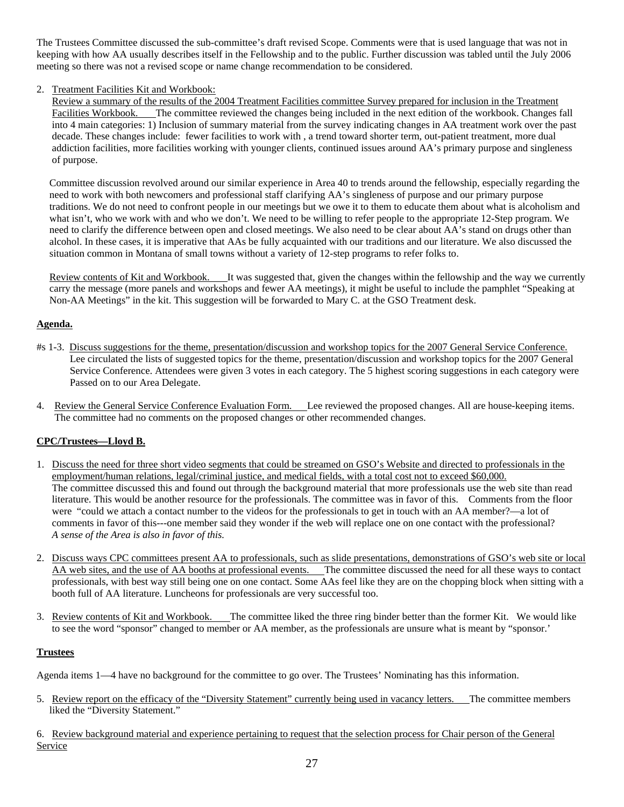The Trustees Committee discussed the sub-committee's draft revised Scope. Comments were that is used language that was not in keeping with how AA usually describes itself in the Fellowship and to the public. Further discussion was tabled until the July 2006 meeting so there was not a revised scope or name change recommendation to be considered.

## 2. Treatment Facilities Kit and Workbook:

 Review a summary of the results of the 2004 Treatment Facilities committee Survey prepared for inclusion in the Treatment Facilities Workbook. The committee reviewed the changes being included in the next edition of the workbook. Changes fall into 4 main categories: 1) Inclusion of summary material from the survey indicating changes in AA treatment work over the past decade. These changes include: fewer facilities to work with , a trend toward shorter term, out-patient treatment, more dual addiction facilities, more facilities working with younger clients, continued issues around AA's primary purpose and singleness of purpose.

 Committee discussion revolved around our similar experience in Area 40 to trends around the fellowship, especially regarding the need to work with both newcomers and professional staff clarifying AA's singleness of purpose and our primary purpose traditions. We do not need to confront people in our meetings but we owe it to them to educate them about what is alcoholism and what isn't, who we work with and who we don't. We need to be willing to refer people to the appropriate 12-Step program. We need to clarify the difference between open and closed meetings. We also need to be clear about AA's stand on drugs other than alcohol. In these cases, it is imperative that AAs be fully acquainted with our traditions and our literature. We also discussed the situation common in Montana of small towns without a variety of 12-step programs to refer folks to.

 Review contents of Kit and Workbook. It was suggested that, given the changes within the fellowship and the way we currently carry the message (more panels and workshops and fewer AA meetings), it might be useful to include the pamphlet "Speaking at Non-AA Meetings" in the kit. This suggestion will be forwarded to Mary C. at the GSO Treatment desk.

## **Agenda.**

- #s 1-3. Discuss suggestions for the theme, presentation/discussion and workshop topics for the 2007 General Service Conference. Lee circulated the lists of suggested topics for the theme, presentation/discussion and workshop topics for the 2007 General Service Conference. Attendees were given 3 votes in each category. The 5 highest scoring suggestions in each category were Passed on to our Area Delegate.
- 4. Review the General Service Conference Evaluation Form. Lee reviewed the proposed changes. All are house-keeping items. The committee had no comments on the proposed changes or other recommended changes.

### **CPC/Trustees—Lloyd B.**

- 1. Discuss the need for three short video segments that could be streamed on GSO's Website and directed to professionals in the employment/human relations, legal/criminal justice, and medical fields, with a total cost not to exceed \$60,000. The committee discussed this and found out through the background material that more professionals use the web site than read literature. This would be another resource for the professionals. The committee was in favor of this. Comments from the floor were "could we attach a contact number to the videos for the professionals to get in touch with an AA member?—a lot of comments in favor of this---one member said they wonder if the web will replace one on one contact with the professional? *A sense of the Area is also in favor of this.*
- 2. Discuss ways CPC committees present AA to professionals, such as slide presentations, demonstrations of GSO's web site or local AA web sites, and the use of AA booths at professional events. The committee discussed the need for all these ways to contact professionals, with best way still being one on one contact. Some AAs feel like they are on the chopping block when sitting with a booth full of AA literature. Luncheons for professionals are very successful too.
- 3. Review contents of Kit and Workbook. The committee liked the three ring binder better than the former Kit. We would like to see the word "sponsor" changed to member or AA member, as the professionals are unsure what is meant by "sponsor.'

### **Trustees**

Agenda items 1—4 have no background for the committee to go over. The Trustees' Nominating has this information.

5. Review report on the efficacy of the "Diversity Statement" currently being used in vacancy letters. The committee members liked the "Diversity Statement."

6. Review background material and experience pertaining to request that the selection process for Chair person of the General **Service**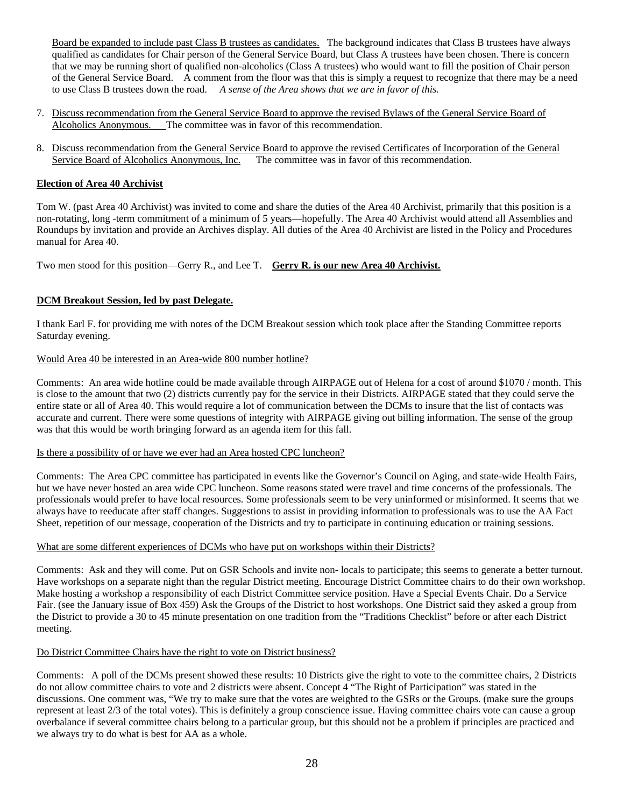Board be expanded to include past Class B trustees as candidates. The background indicates that Class B trustees have always qualified as candidates for Chair person of the General Service Board, but Class A trustees have been chosen. There is concern that we may be running short of qualified non-alcoholics (Class A trustees) who would want to fill the position of Chair person of the General Service Board. A comment from the floor was that this is simply a request to recognize that there may be a need to use Class B trustees down the road. *A sense of the Area shows that we are in favor of this.* 

- 7. Discuss recommendation from the General Service Board to approve the revised Bylaws of the General Service Board of Alcoholics Anonymous. The committee was in favor of this recommendation.
- 8. Discuss recommendation from the General Service Board to approve the revised Certificates of Incorporation of the General Service Board of Alcoholics Anonymous, Inc. The committee was in favor of this recommendation.

## **Election of Area 40 Archivist**

Tom W. (past Area 40 Archivist) was invited to come and share the duties of the Area 40 Archivist, primarily that this position is a non-rotating, long -term commitment of a minimum of 5 years—hopefully. The Area 40 Archivist would attend all Assemblies and Roundups by invitation and provide an Archives display. All duties of the Area 40 Archivist are listed in the Policy and Procedures manual for Area 40.

Two men stood for this position—Gerry R., and Lee T. **Gerry R. is our new Area 40 Archivist.**

## **DCM Breakout Session, led by past Delegate.**

I thank Earl F. for providing me with notes of the DCM Breakout session which took place after the Standing Committee reports Saturday evening.

## Would Area 40 be interested in an Area-wide 800 number hotline?

Comments: An area wide hotline could be made available through AIRPAGE out of Helena for a cost of around \$1070 / month. This is close to the amount that two (2) districts currently pay for the service in their Districts. AIRPAGE stated that they could serve the entire state or all of Area 40. This would require a lot of communication between the DCMs to insure that the list of contacts was accurate and current. There were some questions of integrity with AIRPAGE giving out billing information. The sense of the group was that this would be worth bringing forward as an agenda item for this fall.

### Is there a possibility of or have we ever had an Area hosted CPC luncheon?

Comments: The Area CPC committee has participated in events like the Governor's Council on Aging, and state-wide Health Fairs, but we have never hosted an area wide CPC luncheon. Some reasons stated were travel and time concerns of the professionals. The professionals would prefer to have local resources. Some professionals seem to be very uninformed or misinformed. It seems that we always have to reeducate after staff changes. Suggestions to assist in providing information to professionals was to use the AA Fact Sheet, repetition of our message, cooperation of the Districts and try to participate in continuing education or training sessions.

### What are some different experiences of DCMs who have put on workshops within their Districts?

Comments: Ask and they will come. Put on GSR Schools and invite non- locals to participate; this seems to generate a better turnout. Have workshops on a separate night than the regular District meeting. Encourage District Committee chairs to do their own workshop. Make hosting a workshop a responsibility of each District Committee service position. Have a Special Events Chair. Do a Service Fair. (see the January issue of Box 459) Ask the Groups of the District to host workshops. One District said they asked a group from the District to provide a 30 to 45 minute presentation on one tradition from the "Traditions Checklist" before or after each District meeting.

### Do District Committee Chairs have the right to vote on District business?

Comments: A poll of the DCMs present showed these results: 10 Districts give the right to vote to the committee chairs, 2 Districts do not allow committee chairs to vote and 2 districts were absent. Concept 4 "The Right of Participation" was stated in the discussions. One comment was, "We try to make sure that the votes are weighted to the GSRs or the Groups. (make sure the groups represent at least 2/3 of the total votes). This is definitely a group conscience issue. Having committee chairs vote can cause a group overbalance if several committee chairs belong to a particular group, but this should not be a problem if principles are practiced and we always try to do what is best for AA as a whole.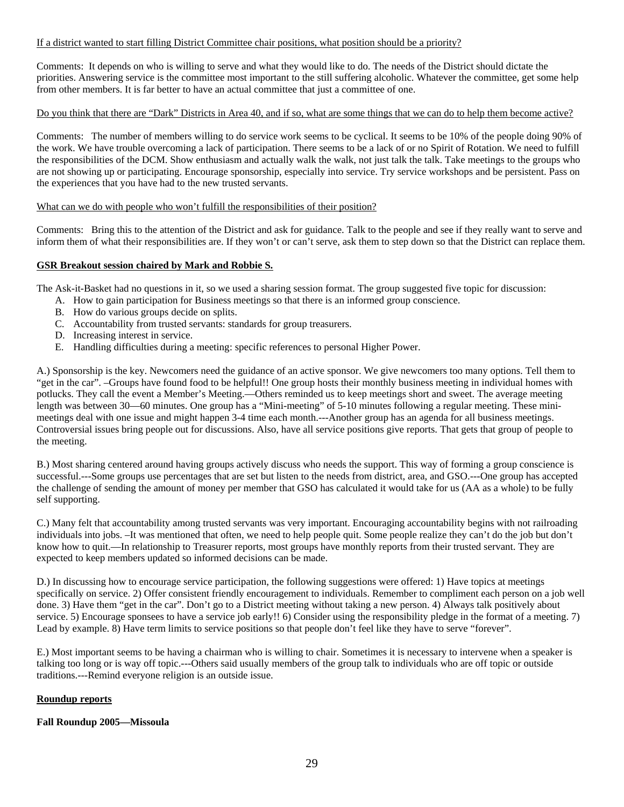## If a district wanted to start filling District Committee chair positions, what position should be a priority?

Comments: It depends on who is willing to serve and what they would like to do. The needs of the District should dictate the priorities. Answering service is the committee most important to the still suffering alcoholic. Whatever the committee, get some help from other members. It is far better to have an actual committee that just a committee of one.

## Do you think that there are "Dark" Districts in Area 40, and if so, what are some things that we can do to help them become active?

Comments: The number of members willing to do service work seems to be cyclical. It seems to be 10% of the people doing 90% of the work. We have trouble overcoming a lack of participation. There seems to be a lack of or no Spirit of Rotation. We need to fulfill the responsibilities of the DCM. Show enthusiasm and actually walk the walk, not just talk the talk. Take meetings to the groups who are not showing up or participating. Encourage sponsorship, especially into service. Try service workshops and be persistent. Pass on the experiences that you have had to the new trusted servants.

#### What can we do with people who won't fulfill the responsibilities of their position?

Comments: Bring this to the attention of the District and ask for guidance. Talk to the people and see if they really want to serve and inform them of what their responsibilities are. If they won't or can't serve, ask them to step down so that the District can replace them.

## **GSR Breakout session chaired by Mark and Robbie S.**

The Ask-it-Basket had no questions in it, so we used a sharing session format. The group suggested five topic for discussion:

- A. How to gain participation for Business meetings so that there is an informed group conscience.
- B. How do various groups decide on splits.
- C. Accountability from trusted servants: standards for group treasurers.
- D. Increasing interest in service.
- E. Handling difficulties during a meeting: specific references to personal Higher Power.

A.) Sponsorship is the key. Newcomers need the guidance of an active sponsor. We give newcomers too many options. Tell them to "get in the car". –Groups have found food to be helpful!! One group hosts their monthly business meeting in individual homes with potlucks. They call the event a Member's Meeting.—Others reminded us to keep meetings short and sweet. The average meeting length was between 30—60 minutes. One group has a "Mini-meeting" of 5-10 minutes following a regular meeting. These minimeetings deal with one issue and might happen 3-4 time each month.---Another group has an agenda for all business meetings. Controversial issues bring people out for discussions. Also, have all service positions give reports. That gets that group of people to the meeting.

B.) Most sharing centered around having groups actively discuss who needs the support. This way of forming a group conscience is successful.---Some groups use percentages that are set but listen to the needs from district, area, and GSO.---One group has accepted the challenge of sending the amount of money per member that GSO has calculated it would take for us (AA as a whole) to be fully self supporting.

C.) Many felt that accountability among trusted servants was very important. Encouraging accountability begins with not railroading individuals into jobs. –It was mentioned that often, we need to help people quit. Some people realize they can't do the job but don't know how to quit.—In relationship to Treasurer reports, most groups have monthly reports from their trusted servant. They are expected to keep members updated so informed decisions can be made.

D.) In discussing how to encourage service participation, the following suggestions were offered: 1) Have topics at meetings specifically on service. 2) Offer consistent friendly encouragement to individuals. Remember to compliment each person on a job well done. 3) Have them "get in the car". Don't go to a District meeting without taking a new person. 4) Always talk positively about service. 5) Encourage sponsees to have a service job early!! 6) Consider using the responsibility pledge in the format of a meeting. 7) Lead by example. 8) Have term limits to service positions so that people don't feel like they have to serve "forever".

E.) Most important seems to be having a chairman who is willing to chair. Sometimes it is necessary to intervene when a speaker is talking too long or is way off topic.---Others said usually members of the group talk to individuals who are off topic or outside traditions.---Remind everyone religion is an outside issue.

### **Roundup reports**

### **Fall Roundup 2005—Missoula**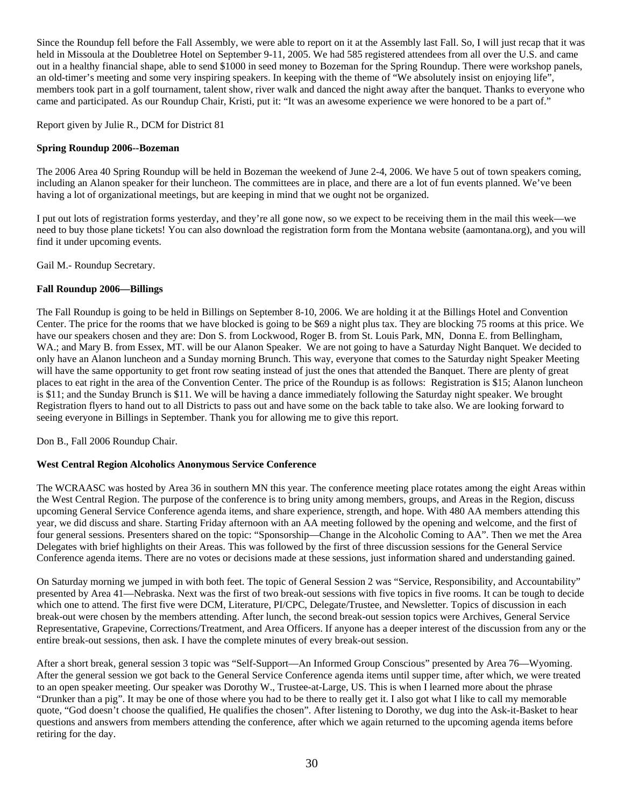Since the Roundup fell before the Fall Assembly, we were able to report on it at the Assembly last Fall. So, I will just recap that it was held in Missoula at the Doubletree Hotel on September 9-11, 2005. We had 585 registered attendees from all over the U.S. and came out in a healthy financial shape, able to send \$1000 in seed money to Bozeman for the Spring Roundup. There were workshop panels, an old-timer's meeting and some very inspiring speakers. In keeping with the theme of "We absolutely insist on enjoying life", members took part in a golf tournament, talent show, river walk and danced the night away after the banquet. Thanks to everyone who came and participated. As our Roundup Chair, Kristi, put it: "It was an awesome experience we were honored to be a part of."

Report given by Julie R., DCM for District 81

### **Spring Roundup 2006--Bozeman**

The 2006 Area 40 Spring Roundup will be held in Bozeman the weekend of June 2-4, 2006. We have 5 out of town speakers coming, including an Alanon speaker for their luncheon. The committees are in place, and there are a lot of fun events planned. We've been having a lot of organizational meetings, but are keeping in mind that we ought not be organized.

I put out lots of registration forms yesterday, and they're all gone now, so we expect to be receiving them in the mail this week—we need to buy those plane tickets! You can also download the registration form from the Montana website (aamontana.org), and you will find it under upcoming events.

Gail M.- Roundup Secretary.

### **Fall Roundup 2006—Billings**

The Fall Roundup is going to be held in Billings on September 8-10, 2006. We are holding it at the Billings Hotel and Convention Center. The price for the rooms that we have blocked is going to be \$69 a night plus tax. They are blocking 75 rooms at this price. We have our speakers chosen and they are: Don S. from Lockwood, Roger B. from St. Louis Park, MN, Donna E. from Bellingham, WA.; and Mary B. from Essex, MT. will be our Alanon Speaker. We are not going to have a Saturday Night Banquet. We decided to only have an Alanon luncheon and a Sunday morning Brunch. This way, everyone that comes to the Saturday night Speaker Meeting will have the same opportunity to get front row seating instead of just the ones that attended the Banquet. There are plenty of great places to eat right in the area of the Convention Center. The price of the Roundup is as follows: Registration is \$15; Alanon luncheon is \$11; and the Sunday Brunch is \$11. We will be having a dance immediately following the Saturday night speaker. We brought Registration flyers to hand out to all Districts to pass out and have some on the back table to take also. We are looking forward to seeing everyone in Billings in September. Thank you for allowing me to give this report.

Don B., Fall 2006 Roundup Chair.

### **West Central Region Alcoholics Anonymous Service Conference**

The WCRAASC was hosted by Area 36 in southern MN this year. The conference meeting place rotates among the eight Areas within the West Central Region. The purpose of the conference is to bring unity among members, groups, and Areas in the Region, discuss upcoming General Service Conference agenda items, and share experience, strength, and hope. With 480 AA members attending this year, we did discuss and share. Starting Friday afternoon with an AA meeting followed by the opening and welcome, and the first of four general sessions. Presenters shared on the topic: "Sponsorship—Change in the Alcoholic Coming to AA". Then we met the Area Delegates with brief highlights on their Areas. This was followed by the first of three discussion sessions for the General Service Conference agenda items. There are no votes or decisions made at these sessions, just information shared and understanding gained.

On Saturday morning we jumped in with both feet. The topic of General Session 2 was "Service, Responsibility, and Accountability" presented by Area 41—Nebraska. Next was the first of two break-out sessions with five topics in five rooms. It can be tough to decide which one to attend. The first five were DCM, Literature, PI/CPC, Delegate/Trustee, and Newsletter. Topics of discussion in each break-out were chosen by the members attending. After lunch, the second break-out session topics were Archives, General Service Representative, Grapevine, Corrections/Treatment, and Area Officers. If anyone has a deeper interest of the discussion from any or the entire break-out sessions, then ask. I have the complete minutes of every break-out session.

After a short break, general session 3 topic was "Self-Support—An Informed Group Conscious" presented by Area 76—Wyoming. After the general session we got back to the General Service Conference agenda items until supper time, after which, we were treated to an open speaker meeting. Our speaker was Dorothy W., Trustee-at-Large, US. This is when I learned more about the phrase "Drunker than a pig". It may be one of those where you had to be there to really get it. I also got what I like to call my memorable quote, "God doesn't choose the qualified, He qualifies the chosen". After listening to Dorothy, we dug into the Ask-it-Basket to hear questions and answers from members attending the conference, after which we again returned to the upcoming agenda items before retiring for the day.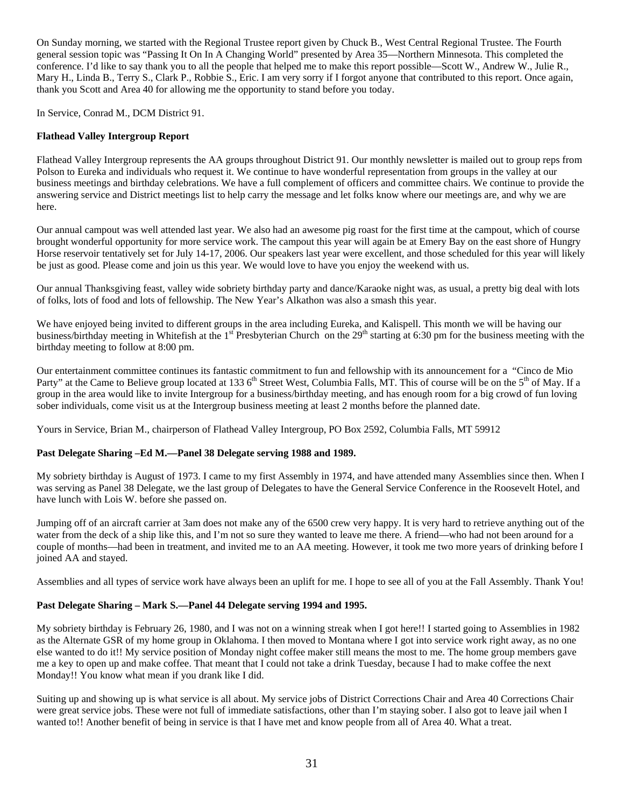On Sunday morning, we started with the Regional Trustee report given by Chuck B., West Central Regional Trustee. The Fourth general session topic was "Passing It On In A Changing World" presented by Area 35—Northern Minnesota. This completed the conference. I'd like to say thank you to all the people that helped me to make this report possible—Scott W., Andrew W., Julie R., Mary H., Linda B., Terry S., Clark P., Robbie S., Eric. I am very sorry if I forgot anyone that contributed to this report. Once again, thank you Scott and Area 40 for allowing me the opportunity to stand before you today.

In Service, Conrad M., DCM District 91.

## **Flathead Valley Intergroup Report**

Flathead Valley Intergroup represents the AA groups throughout District 91. Our monthly newsletter is mailed out to group reps from Polson to Eureka and individuals who request it. We continue to have wonderful representation from groups in the valley at our business meetings and birthday celebrations. We have a full complement of officers and committee chairs. We continue to provide the answering service and District meetings list to help carry the message and let folks know where our meetings are, and why we are here.

Our annual campout was well attended last year. We also had an awesome pig roast for the first time at the campout, which of course brought wonderful opportunity for more service work. The campout this year will again be at Emery Bay on the east shore of Hungry Horse reservoir tentatively set for July 14-17, 2006. Our speakers last year were excellent, and those scheduled for this year will likely be just as good. Please come and join us this year. We would love to have you enjoy the weekend with us.

Our annual Thanksgiving feast, valley wide sobriety birthday party and dance/Karaoke night was, as usual, a pretty big deal with lots of folks, lots of food and lots of fellowship. The New Year's Alkathon was also a smash this year.

We have enjoyed being invited to different groups in the area including Eureka, and Kalispell. This month we will be having our business/birthday meeting in Whitefish at the 1<sup>st</sup> Presbyterian Church on the  $29<sup>th</sup>$  starting at 6:30 pm for the business meeting with the birthday meeting to follow at 8:00 pm.

Our entertainment committee continues its fantastic commitment to fun and fellowship with its announcement for a "Cinco de Mio Party" at the Came to Believe group located at 133 6<sup>th</sup> Street West, Columbia Falls, MT. This of course will be on the 5<sup>th</sup> of May. If a group in the area would like to invite Intergroup for a business/birthday meeting, and has enough room for a big crowd of fun loving sober individuals, come visit us at the Intergroup business meeting at least 2 months before the planned date.

Yours in Service, Brian M., chairperson of Flathead Valley Intergroup, PO Box 2592, Columbia Falls, MT 59912

### **Past Delegate Sharing –Ed M.—Panel 38 Delegate serving 1988 and 1989.**

My sobriety birthday is August of 1973. I came to my first Assembly in 1974, and have attended many Assemblies since then. When I was serving as Panel 38 Delegate, we the last group of Delegates to have the General Service Conference in the Roosevelt Hotel, and have lunch with Lois W. before she passed on.

Jumping off of an aircraft carrier at 3am does not make any of the 6500 crew very happy. It is very hard to retrieve anything out of the water from the deck of a ship like this, and I'm not so sure they wanted to leave me there. A friend—who had not been around for a couple of months—had been in treatment, and invited me to an AA meeting. However, it took me two more years of drinking before I joined AA and stayed.

Assemblies and all types of service work have always been an uplift for me. I hope to see all of you at the Fall Assembly. Thank You!

### **Past Delegate Sharing – Mark S.—Panel 44 Delegate serving 1994 and 1995.**

My sobriety birthday is February 26, 1980, and I was not on a winning streak when I got here!! I started going to Assemblies in 1982 as the Alternate GSR of my home group in Oklahoma. I then moved to Montana where I got into service work right away, as no one else wanted to do it!! My service position of Monday night coffee maker still means the most to me. The home group members gave me a key to open up and make coffee. That meant that I could not take a drink Tuesday, because I had to make coffee the next Monday!! You know what mean if you drank like I did.

Suiting up and showing up is what service is all about. My service jobs of District Corrections Chair and Area 40 Corrections Chair were great service jobs. These were not full of immediate satisfactions, other than I'm staying sober. I also got to leave jail when I wanted to!! Another benefit of being in service is that I have met and know people from all of Area 40. What a treat.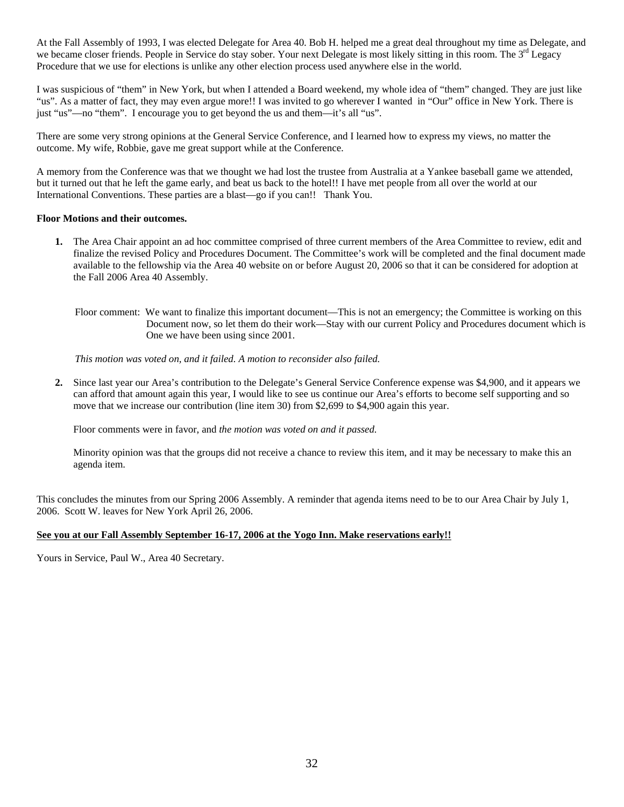At the Fall Assembly of 1993, I was elected Delegate for Area 40. Bob H. helped me a great deal throughout my time as Delegate, and we became closer friends. People in Service do stay sober. Your next Delegate is most likely sitting in this room. The 3<sup>rd</sup> Legacy Procedure that we use for elections is unlike any other election process used anywhere else in the world.

I was suspicious of "them" in New York, but when I attended a Board weekend, my whole idea of "them" changed. They are just like "us". As a matter of fact, they may even argue more!! I was invited to go wherever I wanted in "Our" office in New York. There is just "us"—no "them". I encourage you to get beyond the us and them—it's all "us".

There are some very strong opinions at the General Service Conference, and I learned how to express my views, no matter the outcome. My wife, Robbie, gave me great support while at the Conference.

A memory from the Conference was that we thought we had lost the trustee from Australia at a Yankee baseball game we attended, but it turned out that he left the game early, and beat us back to the hotel!! I have met people from all over the world at our International Conventions. These parties are a blast—go if you can!! Thank You.

#### **Floor Motions and their outcomes.**

- **1.** The Area Chair appoint an ad hoc committee comprised of three current members of the Area Committee to review, edit and finalize the revised Policy and Procedures Document. The Committee's work will be completed and the final document made available to the fellowship via the Area 40 website on or before August 20, 2006 so that it can be considered for adoption at the Fall 2006 Area 40 Assembly.
	- Floor comment: We want to finalize this important document—This is not an emergency; the Committee is working on this Document now, so let them do their work—Stay with our current Policy and Procedures document which is One we have been using since 2001.

*This motion was voted on, and it failed. A motion to reconsider also failed.* 

**2.** Since last year our Area's contribution to the Delegate's General Service Conference expense was \$4,900, and it appears we can afford that amount again this year, I would like to see us continue our Area's efforts to become self supporting and so move that we increase our contribution (line item 30) from \$2,699 to \$4,900 again this year.

Floor comments were in favor, and *the motion was voted on and it passed.* 

Minority opinion was that the groups did not receive a chance to review this item, and it may be necessary to make this an agenda item.

This concludes the minutes from our Spring 2006 Assembly. A reminder that agenda items need to be to our Area Chair by July 1, 2006. Scott W. leaves for New York April 26, 2006.

### **See you at our Fall Assembly September 16-17, 2006 at the Yogo Inn. Make reservations early!!**

Yours in Service, Paul W., Area 40 Secretary.